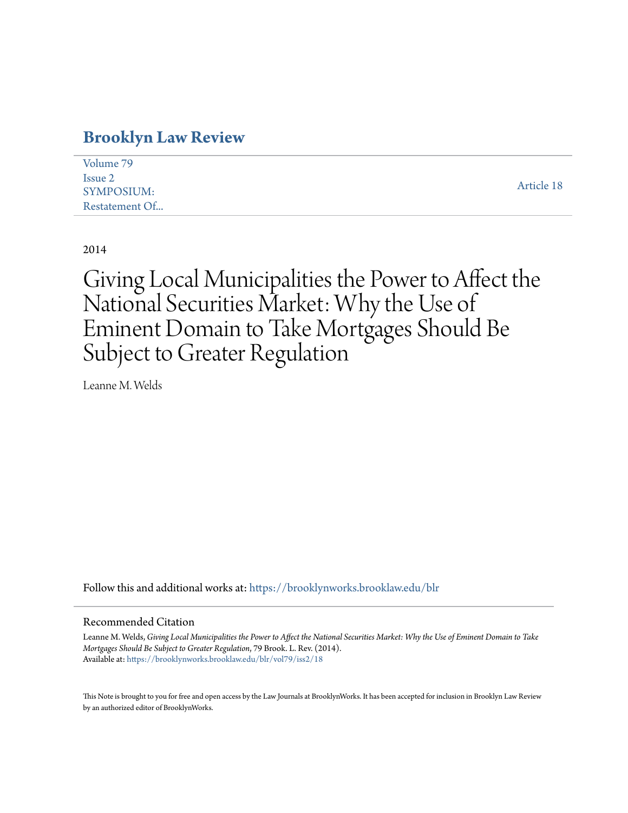# **[Brooklyn Law Review](https://brooklynworks.brooklaw.edu/blr?utm_source=brooklynworks.brooklaw.edu%2Fblr%2Fvol79%2Fiss2%2F18&utm_medium=PDF&utm_campaign=PDFCoverPages)**

| Volume 79         |            |
|-------------------|------------|
| Issue 2           |            |
| <b>SYMPOSIUM:</b> | Article 18 |
| Restatement Of    |            |

2014

Giving Local Municipalities the Power to Affect the National Securities Market: Why the Use of Eminent Domain to Take Mortgages Should Be Subject to Greater Regulation

Leanne M. Welds

Follow this and additional works at: [https://brooklynworks.brooklaw.edu/blr](https://brooklynworks.brooklaw.edu/blr?utm_source=brooklynworks.brooklaw.edu%2Fblr%2Fvol79%2Fiss2%2F18&utm_medium=PDF&utm_campaign=PDFCoverPages)

#### Recommended Citation

Leanne M. Welds, *Giving Local Municipalities the Power to Affect the National Securities Market: Why the Use of Eminent Domain to Take Mortgages Should Be Subject to Greater Regulation*, 79 Brook. L. Rev. (2014). Available at: [https://brooklynworks.brooklaw.edu/blr/vol79/iss2/18](https://brooklynworks.brooklaw.edu/blr/vol79/iss2/18?utm_source=brooklynworks.brooklaw.edu%2Fblr%2Fvol79%2Fiss2%2F18&utm_medium=PDF&utm_campaign=PDFCoverPages)

This Note is brought to you for free and open access by the Law Journals at BrooklynWorks. It has been accepted for inclusion in Brooklyn Law Review by an authorized editor of BrooklynWorks.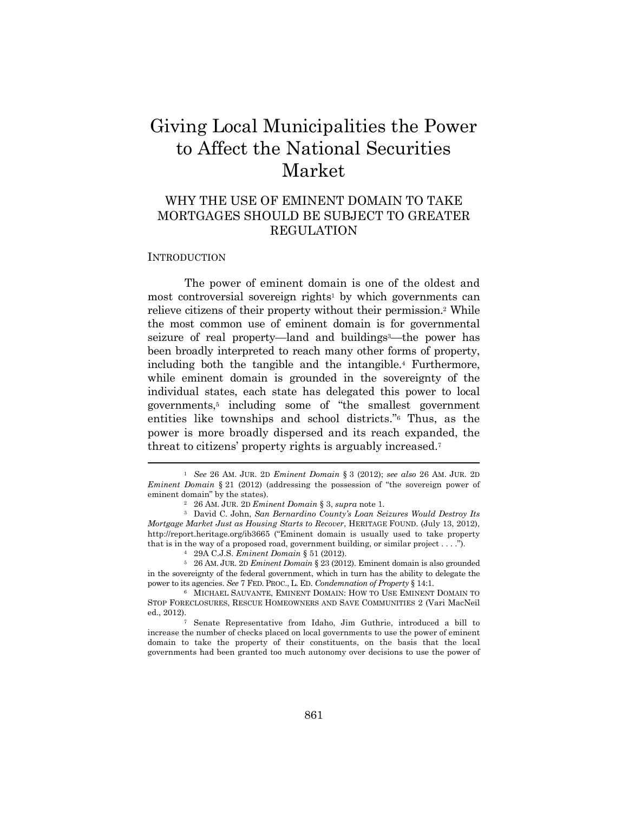# Giving Local Municipalities the Power to Affect the National Securities Market

# WHY THE USE OF EMINENT DOMAIN TO TAKE MORTGAGES SHOULD BE SUBJECT TO GREATER REGULATION

#### **INTRODUCTION**

The power of eminent domain is one of the oldest and most controversial sovereign rights<sup>1</sup> by which governments can relieve citizens of their property without their permission.2 While the most common use of eminent domain is for governmental seizure of real property—land and buildings<sup>3</sup>—the power has been broadly interpreted to reach many other forms of property, including both the tangible and the intangible.4 Furthermore, while eminent domain is grounded in the sovereignty of the individual states, each state has delegated this power to local governments,5 including some of "the smallest government entities like townships and school districts."6 Thus, as the power is more broadly dispersed and its reach expanded, the threat to citizens' property rights is arguably increased.7

<sup>1</sup> *See* 26 AM. JUR. 2D *Eminent Domain* § 3 (2012); *see also* 26 AM. JUR. 2D *Eminent Domain* § 21 (2012) (addressing the possession of "the sovereign power of eminent domain" by the states).<br><sup>2</sup> 26 AM. JUR. 2D *Eminent Domain* § 3, *supra* note 1.<br><sup>3</sup> David C. John, *San Bernardino County's Loan Seizures Would Destroy Its* 

*Mortgage Market Just as Housing Starts to Recover*, HERITAGE FOUND. (July 13, 2012), http://report.heritage.org/ib3665 ("Eminent domain is usually used to take property that is in the way of a proposed road, government building, or similar project . . . .").<br><sup>4</sup> 29A C.J.S. *Eminent Domain* § 51 (2012).<br><sup>5</sup> 26 AM. JUR. 2D *Eminent Domain* § 23 (2012). Eminent domain is also grounded

in the sovereignty of the federal government, which in turn has the ability to delegate the power to its agencies. See 7 FED. PROC., L. ED. Condemnation of Property  $\S$  14:1.

 $^6$  MICHAEL SAUVANTE, EMINENT DOMAIN: HOW TO USE EMINENT DOMAIN TO STOP FORECLOSURES, RESCUE HOMEOWNERS AND SAVE COMMUNITIES 2 (Vari MacNeil ed., 2012). 7 Senate Representative from Idaho, Jim Guthrie, introduced a bill to

increase the number of checks placed on local governments to use the power of eminent domain to take the property of their constituents, on the basis that the local governments had been granted too much autonomy over decisions to use the power of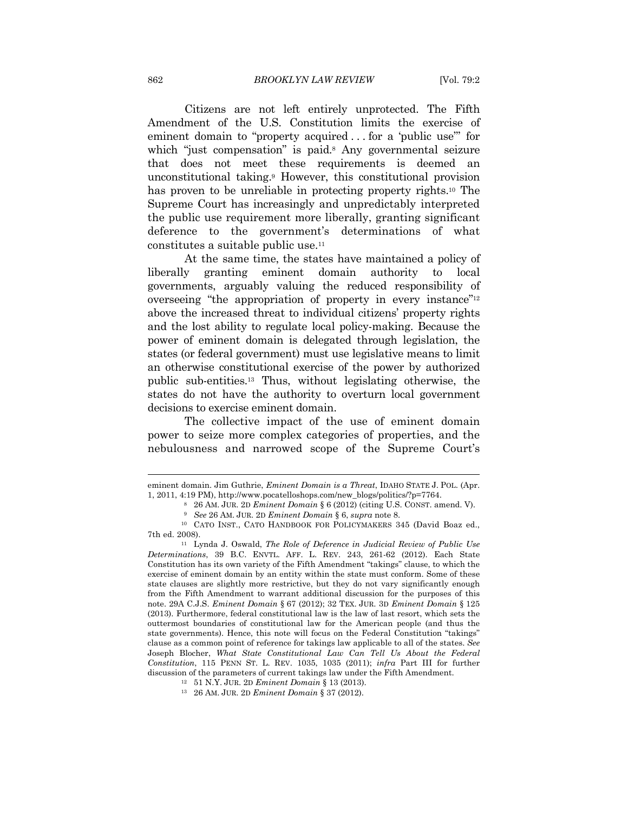Citizens are not left entirely unprotected. The Fifth Amendment of the U.S. Constitution limits the exercise of eminent domain to "property acquired . . . for a 'public use" for which "just compensation" is paid.<sup>8</sup> Any governmental seizure that does not meet these requirements is deemed an unconstitutional taking.9 However, this constitutional provision has proven to be unreliable in protecting property rights.<sup>10</sup> The Supreme Court has increasingly and unpredictably interpreted the public use requirement more liberally, granting significant deference to the government's determinations of what constitutes a suitable public use.11

At the same time, the states have maintained a policy of liberally granting eminent domain authority to local governments, arguably valuing the reduced responsibility of overseeing "the appropriation of property in every instance"12 above the increased threat to individual citizens' property rights and the lost ability to regulate local policy-making. Because the power of eminent domain is delegated through legislation, the states (or federal government) must use legislative means to limit an otherwise constitutional exercise of the power by authorized public sub-entities.13 Thus, without legislating otherwise, the states do not have the authority to overturn local government decisions to exercise eminent domain.

The collective impact of the use of eminent domain power to seize more complex categories of properties, and the nebulousness and narrowed scope of the Supreme Court's

 $\overline{\phantom{a}}$ 

eminent domain. Jim Guthrie, *Eminent Domain is a Threat*, IDAHO STATE J. POL. (Apr. 1, 2011, 4:19 PM), http://www.pocatelloshops.com/new\_blogs/politics/?p=7764.<br>
<sup>8</sup> 26 AM. JUR. 2D *Eminent Domain* § 6 (2012) (citing U.S. CONST. amend. V).<br>
<sup>9</sup> *See* 26 AM. JUR. 2D *Eminent Domain* § 6, *supra* note 8.<br>

<sup>7</sup>th ed. 2008). 11 Lynda J. Oswald, *The Role of Deference in Judicial Review of Public Use* 

*Determinations*, 39 B.C. ENVTL. AFF. L. REV. 243, 261-62 (2012). Each State Constitution has its own variety of the Fifth Amendment "takings" clause, to which the exercise of eminent domain by an entity within the state must conform. Some of these state clauses are slightly more restrictive, but they do not vary significantly enough from the Fifth Amendment to warrant additional discussion for the purposes of this note. 29A C.J.S. *Eminent Domain* § 67 (2012); 32 TEX. JUR. 3D *Eminent Domain* § 125 (2013). Furthermore, federal constitutional law is the law of last resort, which sets the outtermost boundaries of constitutional law for the American people (and thus the state governments). Hence, this note will focus on the Federal Constitution "takings" clause as a common point of reference for takings law applicable to all of the states. *See*  Joseph Blocher, *What State Constitutional Law Can Tell Us About the Federal Constitution*, 115 PENN ST. L. REV. 1035, 1035 (2011); *infra* Part III for further discussion of the parameters of current takings law under the Fifth Amendment.<br><sup>12</sup> 51 N.Y. JUR. 2D *Eminent Domain* § 13 (2013).<br><sup>13</sup> 26 AM. JUR. 2D *Eminent Domain* § 37 (2012).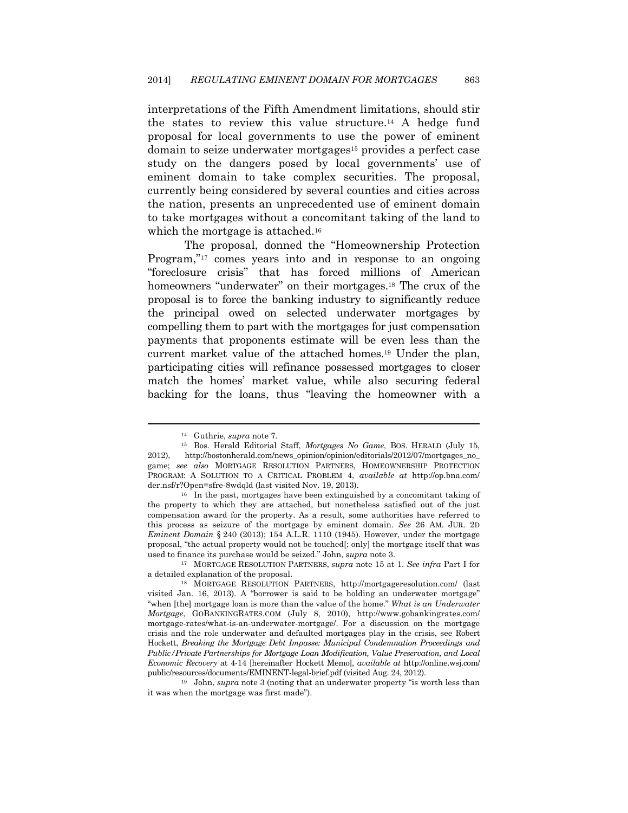interpretations of the Fifth Amendment limitations, should stir the states to review this value structure.14 A hedge fund proposal for local governments to use the power of eminent domain to seize underwater mortgages15 provides a perfect case study on the dangers posed by local governments' use of eminent domain to take complex securities. The proposal, currently being considered by several counties and cities across the nation, presents an unprecedented use of eminent domain to take mortgages without a concomitant taking of the land to which the mortgage is attached.<sup>16</sup>

The proposal, donned the "Homeownership Protection Program,"<sup>17</sup> comes years into and in response to an ongoing "foreclosure crisis" that has forced millions of American homeowners "underwater" on their mortgages.<sup>18</sup> The crux of the proposal is to force the banking industry to significantly reduce the principal owed on selected underwater mortgages by compelling them to part with the mortgages for just compensation payments that proponents estimate will be even less than the current market value of the attached homes.19 Under the plan, participating cities will refinance possessed mortgages to closer match the homes' market value, while also securing federal backing for the loans, thus "leaving the homeowner with a

the property to which they are attached, but nonetheless satisfied out of the just compensation award for the property. As a result, some authorities have referred to this process as seizure of the mortgage by eminent domain. *See* 26 AM. JUR. 2D *Eminent Domain* § 240 (2013); 154 A.L.R. 1110 (1945). However, under the mortgage proposal, "the actual property would not be touched[; only] the mortgage itself that was used to finance its purchase would be seized." John, *supra* note 3. 17 MORTGAGE RESOLUTION PARTNERS, *supra* note 15 at 1. *See infra* Part I for

<sup>14</sup> Guthrie, *supra* note 7. 15 Bos. Herald Editorial Staff, *Mortgages No Game*, BOS. HERALD (July 15, 2012), http://bostonherald.com/news\_opinion/opinion/editorials/2012/07/mortgages\_no\_ game; *see also* MORTGAGE RESOLUTION PARTNERS, HOMEOWNERSHIP PROTECTION PROGRAM: A SOLUTION TO A CRITICAL PROBLEM 4, *available at* http://op.bna.com/ der.nsf/r?Open=sfre-8wdqld (last visited Nov. 19, 2013).<br><sup>16</sup> In the past, mortgages have been extinguished by a concomitant taking of

a detailed explanation of the proposal. 18 MORTGAGE RESOLUTION PARTNERS, http://mortgageresolution.com/ (last

visited Jan. 16, 2013). A "borrower is said to be holding an underwater mortgage" "when [the] mortgage loan is more than the value of the home." *What is an Underwater Mortgage*, GOBANKINGRATES.COM (July 8, 2010), http://www.gobankingrates.com/ mortgage-rates/what-is-an-underwater-mortgage/. For a discussion on the mortgage crisis and the role underwater and defaulted mortgages play in the crisis, see Robert Hockett, *Breaking the Mortgage Debt Impasse: Municipal Condemnation Proceedings and Public/Private Partnerships for Mortgage Loan Modification, Value Preservation, and Local Economic Recovery* at 4-14 [hereinafter Hockett Memo], *available at* http://online.wsj.com/ public/resources/documents/EMINENT-legal-brief.pdf (visited Aug. 24, 2012). 19 John, *supra* note 3 (noting that an underwater property "is worth less than

it was when the mortgage was first made").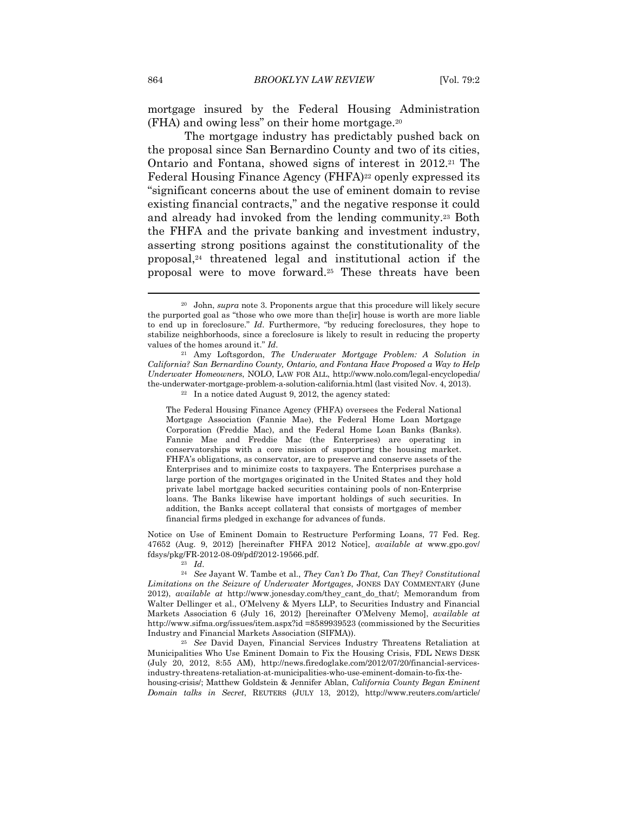mortgage insured by the Federal Housing Administration (FHA) and owing less" on their home mortgage.20

The mortgage industry has predictably pushed back on the proposal since San Bernardino County and two of its cities, Ontario and Fontana, showed signs of interest in 2012.21 The Federal Housing Finance Agency (FHFA)<sup>22</sup> openly expressed its "significant concerns about the use of eminent domain to revise existing financial contracts," and the negative response it could and already had invoked from the lending community.23 Both the FHFA and the private banking and investment industry, asserting strong positions against the constitutionality of the proposal,24 threatened legal and institutional action if the proposal were to move forward.25 These threats have been

The Federal Housing Finance Agency (FHFA) oversees the Federal National Mortgage Association (Fannie Mae), the Federal Home Loan Mortgage Corporation (Freddie Mac), and the Federal Home Loan Banks (Banks). Fannie Mae and Freddie Mac (the Enterprises) are operating in conservatorships with a core mission of supporting the housing market. FHFA's obligations, as conservator, are to preserve and conserve assets of the Enterprises and to minimize costs to taxpayers. The Enterprises purchase a large portion of the mortgages originated in the United States and they hold private label mortgage backed securities containing pools of non-Enterprise loans. The Banks likewise have important holdings of such securities. In addition, the Banks accept collateral that consists of mortgages of member financial firms pledged in exchange for advances of funds.

Notice on Use of Eminent Domain to Restructure Performing Loans, 77 Fed. Reg. 47652 (Aug. 9, 2012) [hereinafter FHFA 2012 Notice], *available at* www.gpo.gov/ fdsys/pkg/FR-2012-08-09/pdf/2012-19566.pdf. 23 *Id*. 24 *See* Jayant W. Tambe et al., *They Can't Do That, Can They? Constitutional* 

*Limitations on the Seizure of Underwater Mortgages*, JONES DAY COMMENTARY (June 2012), *available at* http://www.jonesday.com/they\_cant\_do\_that/; Memorandum from Walter Dellinger et al., O'Melveny & Myers LLP, to Securities Industry and Financial Markets Association 6 (July 16, 2012) [hereinafter O'Melveny Memo], *available at* http://www.sifma.org/issues/item.aspx?id =8589939523 (commissioned by the Securities Industry and Financial Markets Association (SIFMA)). 25 *See* David Dayen, Financial Services Industry Threatens Retaliation at

Municipalities Who Use Eminent Domain to Fix the Housing Crisis, FDL NEWS DESK (July 20, 2012, 8:55 AM), http://news.firedoglake.com/2012/07/20/financial-servicesindustry-threatens-retaliation-at-municipalities-who-use-eminent-domain-to-fix-the-

housing-crisis/; Matthew Goldstein & Jennifer Ablan, *California County Began Eminent Domain talks in Secret*, REUTERS (JULY 13, 2012), http://www.reuters.com/article/

<sup>20</sup> John, *supra* note 3. Proponents argue that this procedure will likely secure the purported goal as "those who owe more than the[ir] house is worth are more liable to end up in foreclosure." *Id*. Furthermore, "by reducing foreclosures, they hope to stabilize neighborhoods, since a foreclosure is likely to result in reducing the property values of the homes around it." *Id*. 21 Amy Loftsgordon, *The Underwater Mortgage Problem: A Solution in* 

*California? San Bernardino County, Ontario, and Fontana Have Proposed a Way to Help Underwater Homeowners*, NOLO, LAW FOR ALL, http://www.nolo.com/legal-encyclopedia/ the-underwater-mortgage-problem-a-solution-california.html (last visited Nov. 4, 2013).<br><sup>22</sup> In a notice dated August 9, 2012, the agency stated: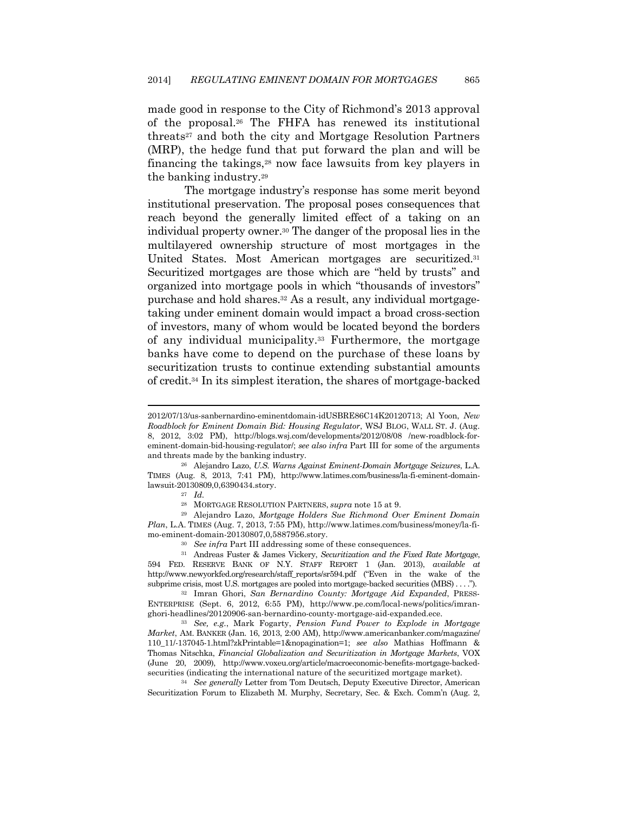made good in response to the City of Richmond's 2013 approval of the proposal.26 The FHFA has renewed its institutional threats27 and both the city and Mortgage Resolution Partners (MRP), the hedge fund that put forward the plan and will be financing the takings,28 now face lawsuits from key players in the banking industry.29

The mortgage industry's response has some merit beyond institutional preservation. The proposal poses consequences that reach beyond the generally limited effect of a taking on an individual property owner.30 The danger of the proposal lies in the multilayered ownership structure of most mortgages in the United States. Most American mortgages are securitized.31 Securitized mortgages are those which are "held by trusts" and organized into mortgage pools in which "thousands of investors" purchase and hold shares.32 As a result, any individual mortgagetaking under eminent domain would impact a broad cross-section of investors, many of whom would be located beyond the borders of any individual municipality.33 Furthermore, the mortgage banks have come to depend on the purchase of these loans by securitization trusts to continue extending substantial amounts of credit.34 In its simplest iteration, the shares of mortgage-backed

TIMES (Aug. 8, 2013, 7:41 PM), http://www.latimes.com/business/la-fi-eminent-domainlawsuit-20130809,0,6390434.story. 27 *Id.*

**.** 

28 MORTGAGE RESOLUTION PARTNERS, *supra* note 15 at 9. 29 Alejandro Lazo, *Mortgage Holders Sue Richmond Over Eminent Domain Plan*, L.A. TIMES (Aug. 7, 2013, 7:55 PM), http://www.latimes.com/business/money/la-fi-

ENTERPRISE (Sept. 6, 2012, 6:55 PM), http://www.pe.com/local-news/politics/imranghori-headlines/20120906-san-bernardino-county-mortgage-aid-expanded.ece. 33 *See, e.g.*, Mark Fogarty, *Pension Fund Power to Explode in Mortgage* 

*Market*, AM. BANKER (Jan. 16, 2013, 2:00 AM), http://www.americanbanker.com/magazine/ 110\_11/-137045-1.html?zkPrintable=1&nopagination=1; *see also* Mathias Hoffmann & Thomas Nitschka, *Financial Globalization and Securitization in Mortgage Markets*, VOX (June 20, 2009), http://www.voxeu.org/article/macroeconomic-benefits-mortgage-backedsecurities (indicating the international nature of the securitized mortgage market). 34 *See generally* Letter from Tom Deutsch, Deputy Executive Director, American

Securitization Forum to Elizabeth M. Murphy, Secretary, Sec. & Exch. Comm'n (Aug. 2,

<sup>2012/07/13/</sup>us-sanbernardino-eminentdomain-idUSBRE86C14K20120713; Al Yoon, *New Roadblock for Eminent Domain Bid: Housing Regulator*, WSJ BLOG, WALL ST. J. (Aug. 8, 2012, 3:02 PM), http://blogs.wsj.com/developments/2012/08/08 /new-roadblock-foreminent-domain-bid-housing-regulator/; *see also infra* Part III for some of the arguments and threats made by the banking industry. 26 Alejandro Lazo, *U.S. Warns Against Eminent-Domain Mortgage Seizures*, L.A.

mo-eminent-domain-20130807,0,5887956.story.<br><sup>30</sup> *See infra* Part III addressing some of these consequences.<br><sup>31</sup> Andreas Fuster & James Vickery, *Securitization and the Fixed Rate Mortgage*, 594 FED. RESERVE BANK OF N.Y. STAFF REPORT 1 (Jan. 2013), *available at*  http://www.newyorkfed.org/research/staff\_reports/sr594.pdf ("Even in the wake of the subprime crisis, most U.S. mortgages are pooled into mortgage-backed securities (MBS) . . . ."). 32 Imran Ghori, *San Bernardino County: Mortgage Aid Expanded*, PRESS-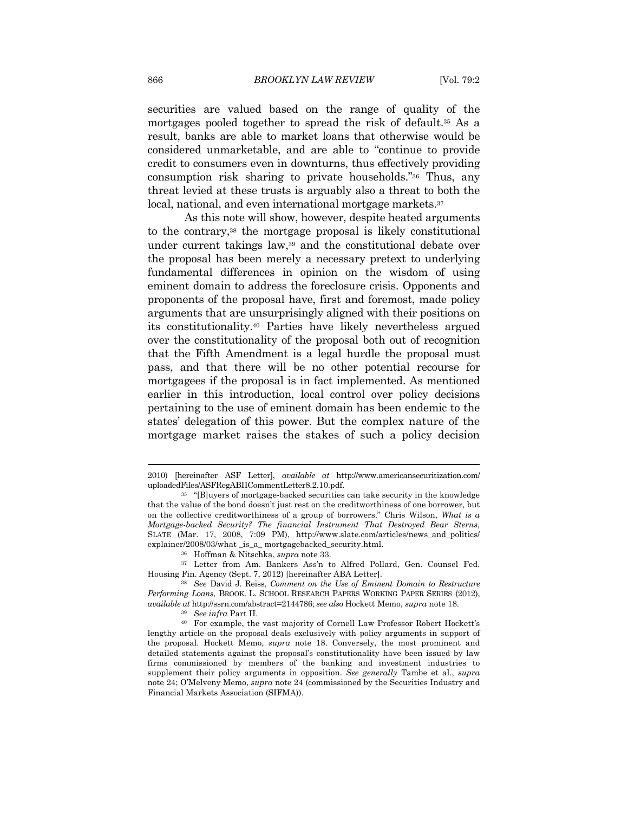securities are valued based on the range of quality of the mortgages pooled together to spread the risk of default.35 As a result, banks are able to market loans that otherwise would be considered unmarketable, and are able to "continue to provide credit to consumers even in downturns, thus effectively providing consumption risk sharing to private households."36 Thus, any threat levied at these trusts is arguably also a threat to both the local, national, and even international mortgage markets.<sup>37</sup>

As this note will show, however, despite heated arguments to the contrary,38 the mortgage proposal is likely constitutional under current takings law,39 and the constitutional debate over the proposal has been merely a necessary pretext to underlying fundamental differences in opinion on the wisdom of using eminent domain to address the foreclosure crisis. Opponents and proponents of the proposal have, first and foremost, made policy arguments that are unsurprisingly aligned with their positions on its constitutionality.40 Parties have likely nevertheless argued over the constitutionality of the proposal both out of recognition that the Fifth Amendment is a legal hurdle the proposal must pass, and that there will be no other potential recourse for mortgagees if the proposal is in fact implemented. As mentioned earlier in this introduction, local control over policy decisions pertaining to the use of eminent domain has been endemic to the states' delegation of this power. But the complex nature of the mortgage market raises the stakes of such a policy decision

 $\overline{\phantom{a}}$ 

<sup>2010) [</sup>hereinafter ASF Letter], *available at* http://www.americansecuritization.com/

<sup>&</sup>lt;sup>35</sup> "[B]uyers of mortgage-backed securities can take security in the knowledge that the value of the bond doesn't just rest on the creditworthiness of one borrower, but on the collective creditworthiness of a group of borrowers." Chris Wilson, *What is a Mortgage-backed Security? The financial Instrument That Destroyed Bear Sterns*, SLATE (Mar. 17, 2008, 7:09 PM), http://www.slate.com/articles/news\_and\_politics/ explainer/2008/03/what \_is\_a\_ mortgagebacked\_security.html. 36 Hoffman & Nitschka, *supra* note 33. 37 Letter from Am. Bankers Ass'n to Alfred Pollard, Gen. Counsel Fed.

Housing Fin. Agency (Sept. 7, 2012) [hereinafter ABA Letter]. 38 *See* David J. Reiss, *Comment on the Use of Eminent Domain to Restructure* 

*Performing Loans*, BROOK. L. SCHOOL RESEARCH PAPERS WORKING PAPER SERIES (2012), *available at* http://ssrn.com/abstract=2144786; *see also* Hockett Memo, *supra* note 18. 39 *See infra* Part II. 40 For example, the vast majority of Cornell Law Professor Robert Hockett's

lengthy article on the proposal deals exclusively with policy arguments in support of the proposal. Hockett Memo, *supra* note 18. Conversely, the most prominent and detailed statements against the proposal's constitutionality have been issued by law firms commissioned by members of the banking and investment industries to supplement their policy arguments in opposition. *See generally* Tambe et al., *supra*  note 24; O'Melveny Memo, *supra* note 24 (commissioned by the Securities Industry and Financial Markets Association (SIFMA)).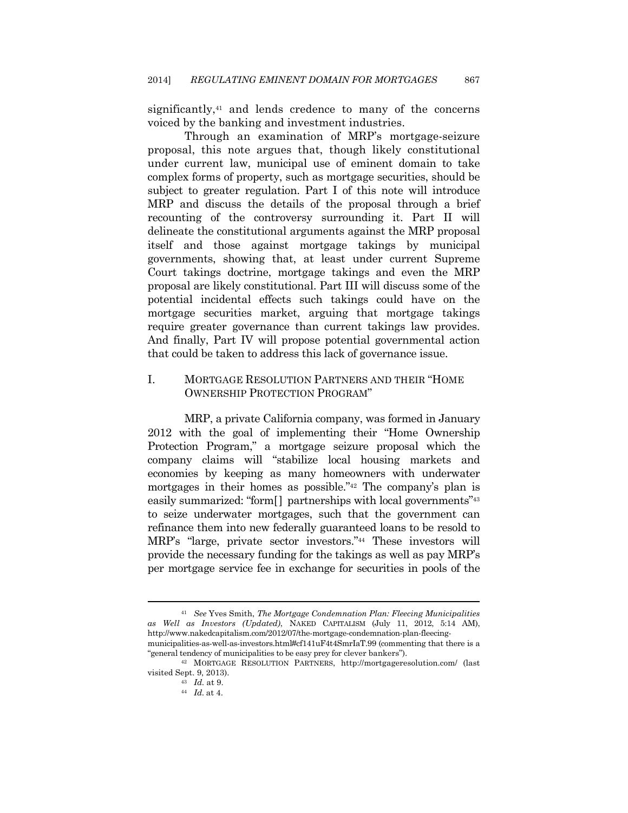significantly,<sup>41</sup> and lends credence to many of the concerns voiced by the banking and investment industries.

Through an examination of MRP's mortgage-seizure proposal, this note argues that, though likely constitutional under current law, municipal use of eminent domain to take complex forms of property, such as mortgage securities, should be subject to greater regulation. Part I of this note will introduce MRP and discuss the details of the proposal through a brief recounting of the controversy surrounding it. Part II will delineate the constitutional arguments against the MRP proposal itself and those against mortgage takings by municipal governments, showing that, at least under current Supreme Court takings doctrine, mortgage takings and even the MRP proposal are likely constitutional. Part III will discuss some of the potential incidental effects such takings could have on the mortgage securities market, arguing that mortgage takings require greater governance than current takings law provides. And finally, Part IV will propose potential governmental action that could be taken to address this lack of governance issue.

### I. MORTGAGE RESOLUTION PARTNERS AND THEIR "HOME OWNERSHIP PROTECTION PROGRAM"

MRP, a private California company, was formed in January 2012 with the goal of implementing their "Home Ownership Protection Program," a mortgage seizure proposal which the company claims will "stabilize local housing markets and economies by keeping as many homeowners with underwater mortgages in their homes as possible."42 The company's plan is easily summarized: "form<sup>[]</sup> partnerships with local governments"<sup>43</sup> to seize underwater mortgages, such that the government can refinance them into new federally guaranteed loans to be resold to MRP's "large, private sector investors."44 These investors will provide the necessary funding for the takings as well as pay MRP's per mortgage service fee in exchange for securities in pools of the

<sup>41</sup> *See* Yves Smith, *The Mortgage Condemnation Plan: Fleecing Municipalities as Well as Investors (Updated)*, NAKED CAPITALISM (July 11, 2012, 5:14 AM), http://www.nakedcapitalism.com/2012/07/the-mortgage-condemnation-plan-fleecingmunicipalities-as-well-as-investors.html#cf141uF4t4SmrIaT.99 (commenting that there is a

<sup>&</sup>quot;general tendency of municipalities to be easy prey for clever bankers"). 42 MORTGAGE RESOLUTION PARTNERS, http://mortgageresolution.com/ (last

visited Sept. 9, 2013). 43 *Id.* at 9.

<sup>44</sup> *Id.* at 4.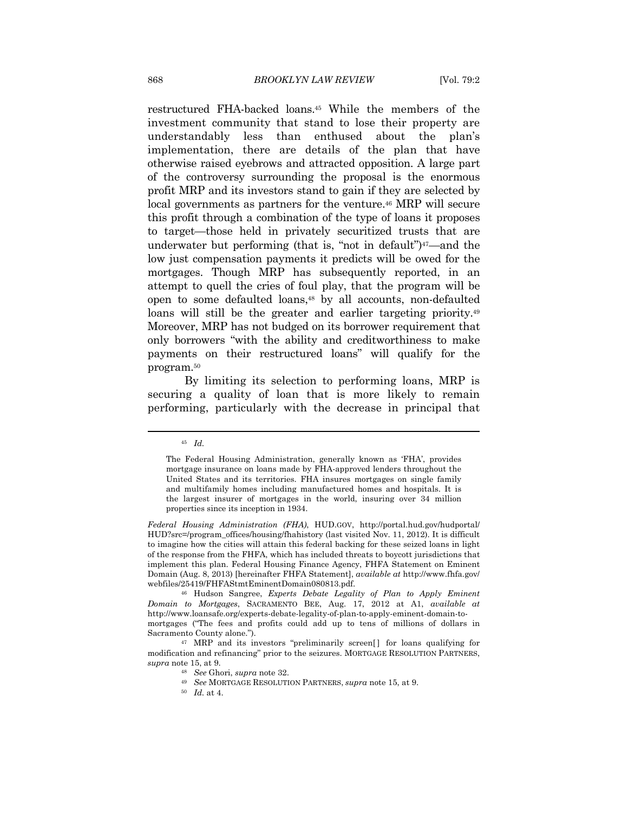restructured FHA-backed loans.45 While the members of the investment community that stand to lose their property are understandably less than enthused about the plan's implementation, there are details of the plan that have otherwise raised eyebrows and attracted opposition. A large part of the controversy surrounding the proposal is the enormous profit MRP and its investors stand to gain if they are selected by local governments as partners for the venture.<sup>46</sup> MRP will secure this profit through a combination of the type of loans it proposes to target—those held in privately securitized trusts that are underwater but performing (that is, "not in default")<sup>47</sup>—and the low just compensation payments it predicts will be owed for the mortgages. Though MRP has subsequently reported, in an attempt to quell the cries of foul play, that the program will be open to some defaulted loans,48 by all accounts, non-defaulted loans will still be the greater and earlier targeting priority.<sup>49</sup> Moreover, MRP has not budged on its borrower requirement that only borrowers "with the ability and creditworthiness to make payments on their restructured loans" will qualify for the program.50

By limiting its selection to performing loans, MRP is securing a quality of loan that is more likely to remain performing, particularly with the decrease in principal that

<sup>45</sup> *Id.*

The Federal Housing Administration, generally known as 'FHA', provides mortgage insurance on loans made by FHA-approved lenders throughout the United States and its territories. FHA insures mortgages on single family and multifamily homes including manufactured homes and hospitals. It is the largest insurer of mortgages in the world, insuring over 34 million properties since its inception in 1934.

*Federal Housing Administration (FHA)*, HUD.GOV, http://portal.hud.gov/hudportal/ HUD?src=/program\_offices/housing/fhahistory (last visited Nov. 11, 2012). It is difficult to imagine how the cities will attain this federal backing for these seized loans in light of the response from the FHFA, which has included threats to boycott jurisdictions that implement this plan. Federal Housing Finance Agency, FHFA Statement on Eminent Domain (Aug. 8, 2013) [hereinafter FHFA Statement], *available at* http://www.fhfa.gov/

webfiles/25419/FHFAStmtEminentDomain080813.pdf. 46 Hudson Sangree, *Experts Debate Legality of Plan to Apply Eminent Domain to Mortgages*, SACRAMENTO BEE, Aug. 17, 2012 at A1, *available at*  http://www.loansafe.org/experts-debate-legality-of-plan-to-apply-eminent-domain-tomortgages ("The fees and profits could add up to tens of millions of dollars in

Sacramento County alone."). 47 MRP and its investors "preliminarily screen[] for loans qualifying for modification and refinancing" prior to the seizures. MORTGAGE RESOLUTION PARTNERS, *supra* note 15, at 9. 48 *See* Ghori, *supra* note 32. 49 *See* MORTGAGE RESOLUTION PARTNERS, *supra* note 15, at 9.

<sup>50</sup> *Id.* at 4.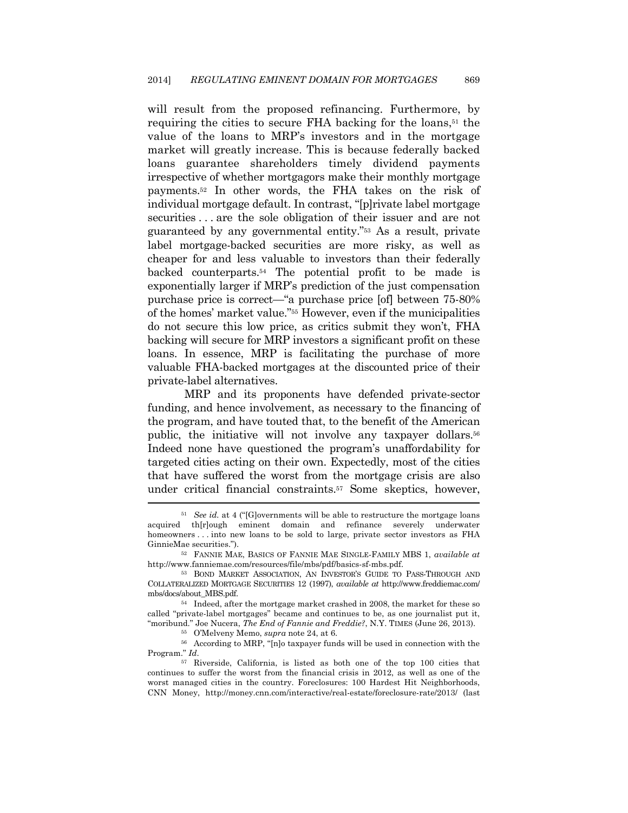will result from the proposed refinancing. Furthermore, by requiring the cities to secure FHA backing for the loans,<sup>51</sup> the value of the loans to MRP's investors and in the mortgage market will greatly increase. This is because federally backed loans guarantee shareholders timely dividend payments irrespective of whether mortgagors make their monthly mortgage payments.52 In other words, the FHA takes on the risk of individual mortgage default. In contrast, "[p]rivate label mortgage securities . . . are the sole obligation of their issuer and are not guaranteed by any governmental entity."53 As a result, private label mortgage-backed securities are more risky, as well as cheaper for and less valuable to investors than their federally backed counterparts.54 The potential profit to be made is exponentially larger if MRP's prediction of the just compensation purchase price is correct—"a purchase price [of] between 75-80% of the homes' market value."55 However, even if the municipalities do not secure this low price, as critics submit they won't, FHA backing will secure for MRP investors a significant profit on these loans. In essence, MRP is facilitating the purchase of more valuable FHA-backed mortgages at the discounted price of their private-label alternatives.

MRP and its proponents have defended private-sector funding, and hence involvement, as necessary to the financing of the program, and have touted that, to the benefit of the American public, the initiative will not involve any taxpayer dollars.56 Indeed none have questioned the program's unaffordability for targeted cities acting on their own. Expectedly, most of the cities that have suffered the worst from the mortgage crisis are also under critical financial constraints.57 Some skeptics, however,

<sup>&</sup>lt;sup>51</sup> See id. at 4 ("[G]overnments will be able to restructure the mortgage loans acquired th[r]ough eminent domain and refinance severely underwater homeowners . . . into new loans to be sold to large, private sector investors as FHA GinnieMae securities."). 52 FANNIE MAE, BASICS OF FANNIE MAE SINGLE-FAMILY MBS 1, *available at* 

http://www.fanniemae.com/resources/file/mbs/pdf/basics-sf-mbs.pdf. 53 BOND MARKET ASSOCIATION, AN INVESTOR'S GUIDE TO PASS-THROUGH AND

COLLATERALIZED MORTGAGE SECURITIES 12 (1997), *available at* http://www.freddiemac.com/ mbs/docs/about\_MBS.pdf. 54 Indeed, after the mortgage market crashed in 2008, the market for these so

called "private-label mortgages" became and continues to be, as one journalist put it, "moribund." Joe Nucera, *The End of Fannie and Freddie?*, N.Y. TIMES (June 26, 2013). 55 O'Melveny Memo, *supra* note 24, at 6. 56 According to MRP, "[n]o taxpayer funds will be used in connection with the

Program." *Id*. 57 Riverside, California, is listed as both one of the top 100 cities that

continues to suffer the worst from the financial crisis in 2012, as well as one of the worst managed cities in the country. Foreclosures: 100 Hardest Hit Neighborhoods, CNN Money, http://money.cnn.com/interactive/real-estate/foreclosure-rate/2013/ (last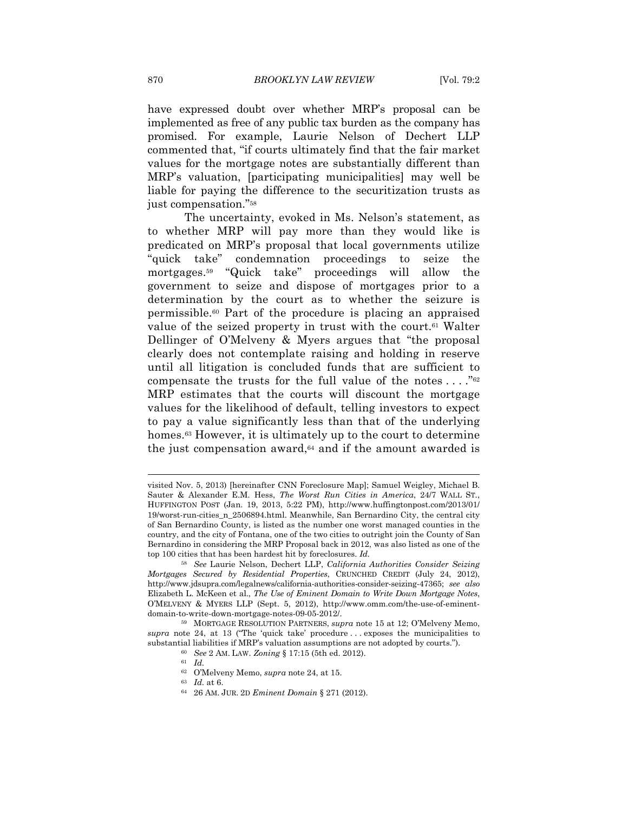have expressed doubt over whether MRP's proposal can be implemented as free of any public tax burden as the company has promised. For example, Laurie Nelson of Dechert LLP commented that, "if courts ultimately find that the fair market values for the mortgage notes are substantially different than MRP's valuation, [participating municipalities] may well be liable for paying the difference to the securitization trusts as just compensation."58

The uncertainty, evoked in Ms. Nelson's statement, as to whether MRP will pay more than they would like is predicated on MRP's proposal that local governments utilize "quick take" condemnation proceedings to seize the mortgages.59 "Quick take" proceedings will allow the government to seize and dispose of mortgages prior to a determination by the court as to whether the seizure is permissible.60 Part of the procedure is placing an appraised value of the seized property in trust with the court.<sup>61</sup> Walter Dellinger of O'Melveny & Myers argues that "the proposal clearly does not contemplate raising and holding in reserve until all litigation is concluded funds that are sufficient to compensate the trusts for the full value of the notes  $\dots$ ."<sup>62</sup> MRP estimates that the courts will discount the mortgage values for the likelihood of default, telling investors to expect to pay a value significantly less than that of the underlying homes.<sup>63</sup> However, it is ultimately up to the court to determine the just compensation award,64 and if the amount awarded is

1

visited Nov. 5, 2013) [hereinafter CNN Foreclosure Map]; Samuel Weigley, Michael B. Sauter & Alexander E.M. Hess, *The Worst Run Cities in America*, 24/7 WALL ST., HUFFINGTON POST (Jan. 19, 2013, 5:22 PM), http://www.huffingtonpost.com/2013/01/ 19/worst-run-cities\_n\_2506894.html. Meanwhile, San Bernardino City, the central city of San Bernardino County, is listed as the number one worst managed counties in the country, and the city of Fontana, one of the two cities to outright join the County of San Bernardino in considering the MRP Proposal back in 2012, was also listed as one of the top 100 cities that has been hardest hit by foreclosures. *Id.* 

<sup>58</sup> *See* Laurie Nelson, Dechert LLP, *California Authorities Consider Seizing Mortgages Secured by Residential Properties*, CRUNCHED CREDIT (July 24, 2012), http://www.jdsupra.com/legalnews/california-authorities-consider-seizing-47365; *see also*  Elizabeth L. McKeen et al., *The Use of Eminent Domain to Write Down Mortgage Notes*, O'MELVENY & MYERS LLP (Sept. 5, 2012), http://www.omm.com/the-use-of-eminentdomain-to-write-down-mortgage-notes-09-05-2012/. 59 MORTGAGE RESOLUTION PARTNERS, *supra* note 15 at 12; O'Melveny Memo,

*supra* note 24, at 13 ("The 'quick take' procedure . . . exposes the municipalities to substantial liabilities if MRP's valuation assumptions are not adopted by courts.").  $^{60}$  *See 2 AM. LAW. Zoning* § 17:15 (5th ed. 2012).  $^{61}$  *Id.* 

<sup>62</sup> O'Melveny Memo, *supra* note 24, at 15. 63 *Id.* at 6. 64 26 AM. JUR. 2D *Eminent Domain* § 271 (2012).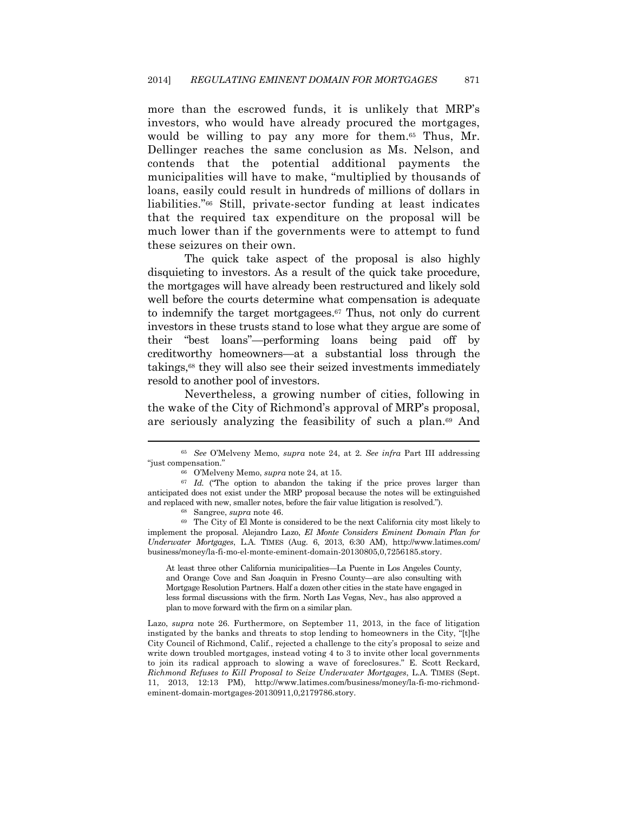more than the escrowed funds, it is unlikely that MRP's investors, who would have already procured the mortgages, would be willing to pay any more for them.65 Thus, Mr. Dellinger reaches the same conclusion as Ms. Nelson, and contends that the potential additional payments the municipalities will have to make, "multiplied by thousands of loans, easily could result in hundreds of millions of dollars in liabilities."66 Still, private-sector funding at least indicates that the required tax expenditure on the proposal will be much lower than if the governments were to attempt to fund these seizures on their own.

The quick take aspect of the proposal is also highly disquieting to investors. As a result of the quick take procedure, the mortgages will have already been restructured and likely sold well before the courts determine what compensation is adequate to indemnify the target mortgagees.67 Thus, not only do current investors in these trusts stand to lose what they argue are some of their "best loans"—performing loans being paid off by creditworthy homeowners—at a substantial loss through the takings,68 they will also see their seized investments immediately resold to another pool of investors.

Nevertheless, a growing number of cities, following in the wake of the City of Richmond's approval of MRP's proposal, are seriously analyzing the feasibility of such a plan.69 And

At least three other California municipalities—La Puente in Los Angeles County, and Orange Cove and San Joaquin in Fresno County—are also consulting with Mortgage Resolution Partners. Half a dozen other cities in the state have engaged in less formal discussions with the firm. North Las Vegas, Nev., has also approved a plan to move forward with the firm on a similar plan.

Lazo, *supra* note 26. Furthermore, on September 11, 2013, in the face of litigation instigated by the banks and threats to stop lending to homeowners in the City, "[t]he City Council of Richmond, Calif., rejected a challenge to the city's proposal to seize and write down troubled mortgages, instead voting 4 to 3 to invite other local governments to join its radical approach to slowing a wave of foreclosures." E. Scott Reckard, *Richmond Refuses to Kill Proposal to Seize Underwater Mortgages*, L.A. TIMES (Sept. 11, 2013, 12:13 PM), http://www.latimes.com/business/money/la-fi-mo-richmondeminent-domain-mortgages-20130911,0,2179786.story.

<sup>65</sup> *See* O'Melveny Memo, *supra* note 24, at 2. *See infra* Part III addressing "just compensation." 66 O'Melveny Memo, *supra* note 24, at 15. 67 *Id.* ("The option to abandon the taking if the price proves larger than

anticipated does not exist under the MRP proposal because the notes will be extinguished and replaced with new, smaller notes, before the fair value litigation is resolved."). <sup>68</sup> Sangree, *supra* note 46. <sup>69</sup> The City of El Monte is considered to be the next California city most likely to

implement the proposal. Alejandro Lazo, *El Monte Considers Eminent Domain Plan for Underwater Mortgages*, L.A. TIMES (Aug. 6, 2013, 6:30 AM), http://www.latimes.com/ business/money/la-fi-mo-el-monte-eminent-domain-20130805,0,7256185.story.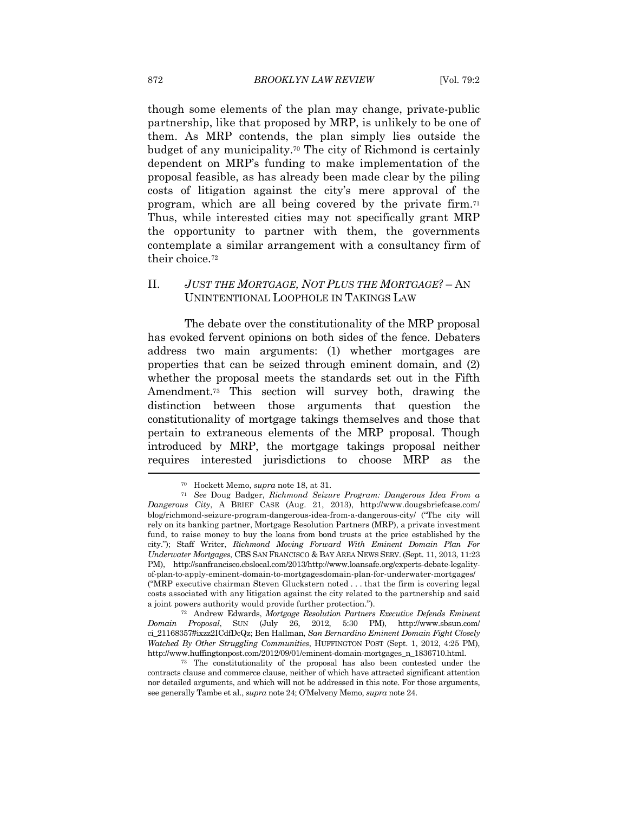though some elements of the plan may change, private-public partnership, like that proposed by MRP, is unlikely to be one of them. As MRP contends, the plan simply lies outside the budget of any municipality.70 The city of Richmond is certainly dependent on MRP's funding to make implementation of the proposal feasible, as has already been made clear by the piling costs of litigation against the city's mere approval of the program, which are all being covered by the private firm.71 Thus, while interested cities may not specifically grant MRP the opportunity to partner with them, the governments contemplate a similar arrangement with a consultancy firm of their choice.72

### II. *JUST THE MORTGAGE, NOT PLUS THE MORTGAGE?* – AN UNINTENTIONAL LOOPHOLE IN TAKINGS LAW

The debate over the constitutionality of the MRP proposal has evoked fervent opinions on both sides of the fence. Debaters address two main arguments: (1) whether mortgages are properties that can be seized through eminent domain, and (2) whether the proposal meets the standards set out in the Fifth Amendment.73 This section will survey both, drawing the distinction between those arguments that question the constitutionality of mortgage takings themselves and those that pertain to extraneous elements of the MRP proposal. Though introduced by MRP, the mortgage takings proposal neither requires interested jurisdictions to choose MRP as the

*Domain Proposal*, SUN (July 26, 2012, 5:30 PM), http://www.sbsun.com/ ci\_21168357#ixzz2ICdfDcQz; Ben Hallman, *San Bernardino Eminent Domain Fight Closely Watched By Other Struggling Communities*, HUFFINGTON POST (Sept. 1, 2012, 4:25 PM), http://www.huffingtonpost.com/2012/09/01/eminent-domain-mortgages\_n\_1836710.html. 73 The constitutionality of the proposal has also been contested under the

<sup>70</sup> Hockett Memo, *supra* note 18, at 31. 71 *See* Doug Badger, *Richmond Seizure Program: Dangerous Idea From a Dangerous City*, A BRIEF CASE (Aug. 21, 2013), http://www.dougsbriefcase.com/ blog/richmond-seizure-program-dangerous-idea-from-a-dangerous-city/ ("The city will rely on its banking partner, Mortgage Resolution Partners (MRP), a private investment fund, to raise money to buy the loans from bond trusts at the price established by the city."); Staff Writer, *Richmond Moving Forward With Eminent Domain Plan For Underwater Mortgages*, CBS SAN FRANCISCO & BAY AREA NEWS SERV. (Sept. 11, 2013, 11:23 PM), http://sanfrancisco.cbslocal.com/2013/http://www.loansafe.org/experts-debate-legalityof-plan-to-apply-eminent-domain-to-mortgagesdomain-plan-for-underwater-mortgages/ ("MRP executive chairman Steven Gluckstern noted . . . that the firm is covering legal costs associated with any litigation against the city related to the partnership and said a joint powers authority would provide further protection."). 72 Andrew Edwards, *Mortgage Resolution Partners Executive Defends Eminent* 

contracts clause and commerce clause, neither of which have attracted significant attention nor detailed arguments, and which will not be addressed in this note. For those arguments, see generally Tambe et al., *supra* note 24; O'Melveny Memo, *supra* note 24.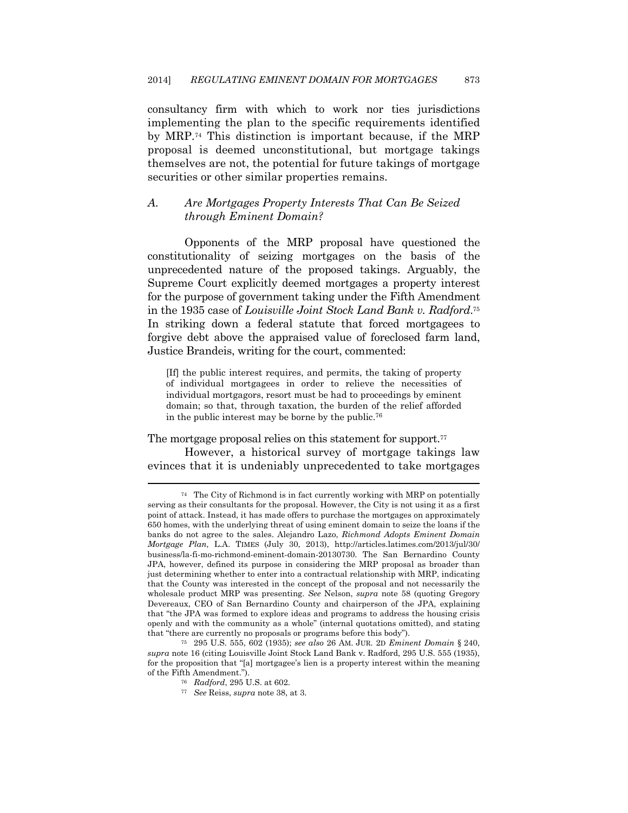consultancy firm with which to work nor ties jurisdictions implementing the plan to the specific requirements identified by MRP.74 This distinction is important because, if the MRP proposal is deemed unconstitutional, but mortgage takings themselves are not, the potential for future takings of mortgage securities or other similar properties remains.

#### *A. Are Mortgages Property Interests That Can Be Seized through Eminent Domain?*

Opponents of the MRP proposal have questioned the constitutionality of seizing mortgages on the basis of the unprecedented nature of the proposed takings. Arguably, the Supreme Court explicitly deemed mortgages a property interest for the purpose of government taking under the Fifth Amendment in the 1935 case of *Louisville Joint Stock Land Bank v. Radford*.75 In striking down a federal statute that forced mortgagees to forgive debt above the appraised value of foreclosed farm land, Justice Brandeis, writing for the court, commented:

[If] the public interest requires, and permits, the taking of property of individual mortgagees in order to relieve the necessities of individual mortgagors, resort must be had to proceedings by eminent domain; so that, through taxation, the burden of the relief afforded in the public interest may be borne by the public.76

The mortgage proposal relies on this statement for support.<sup>77</sup> However, a historical survey of mortgage takings law evinces that it is undeniably unprecedented to take mortgages

<sup>74</sup> The City of Richmond is in fact currently working with MRP on potentially serving as their consultants for the proposal. However, the City is not using it as a first point of attack. Instead, it has made offers to purchase the mortgages on approximately 650 homes, with the underlying threat of using eminent domain to seize the loans if the banks do not agree to the sales. Alejandro Lazo, *Richmond Adopts Eminent Domain Mortgage Plan*, L.A. TIMES (July 30, 2013), http://articles.latimes.com/2013/jul/30/ business/la-fi-mo-richmond-eminent-domain-20130730. The San Bernardino County JPA, however, defined its purpose in considering the MRP proposal as broader than just determining whether to enter into a contractual relationship with MRP, indicating that the County was interested in the concept of the proposal and not necessarily the wholesale product MRP was presenting. *See* Nelson, *supra* note 58 (quoting Gregory Devereaux, CEO of San Bernardino County and chairperson of the JPA, explaining that "the JPA was formed to explore ideas and programs to address the housing crisis openly and with the community as a whole" (internal quotations omitted), and stating that "there are currently no proposals or programs before this body"). 75 295 U.S. 555, 602 (1935); *see also* 26 AM. JUR. 2D *Eminent Domain* § 240,

*supra* note 16 (citing Louisville Joint Stock Land Bank v. Radford, 295 U.S. 555 (1935), for the proposition that "[a] mortgagee's lien is a property interest within the meaning of the Fifth Amendment."). 76 *Radford*, 295 U.S. at 602. 77 *See* Reiss, *supra* note 38, at 3.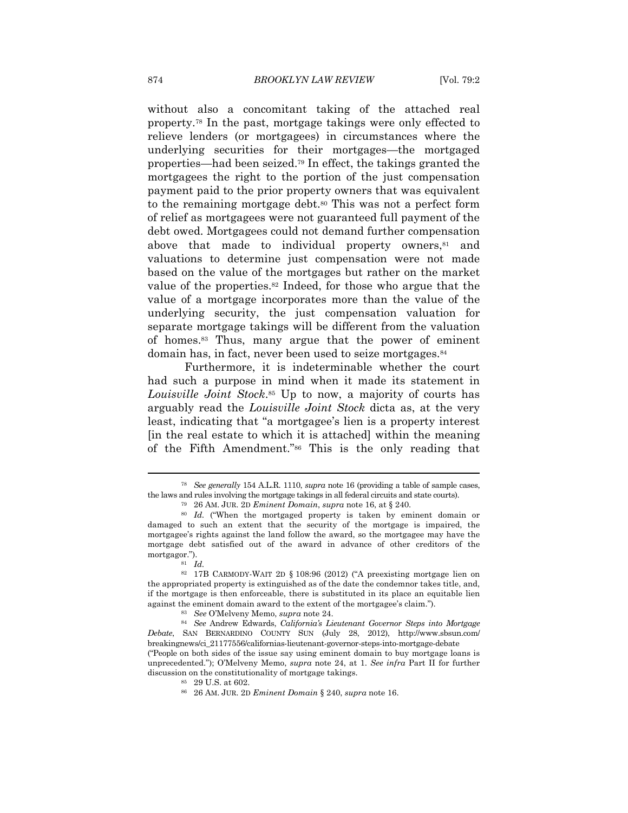without also a concomitant taking of the attached real property.78 In the past, mortgage takings were only effected to relieve lenders (or mortgagees) in circumstances where the underlying securities for their mortgages—the mortgaged properties—had been seized.79 In effect, the takings granted the mortgagees the right to the portion of the just compensation payment paid to the prior property owners that was equivalent to the remaining mortgage debt.<sup>80</sup> This was not a perfect form of relief as mortgagees were not guaranteed full payment of the debt owed. Mortgagees could not demand further compensation above that made to individual property owners,<sup>81</sup> and valuations to determine just compensation were not made based on the value of the mortgages but rather on the market value of the properties.<sup>82</sup> Indeed, for those who argue that the value of a mortgage incorporates more than the value of the underlying security, the just compensation valuation for separate mortgage takings will be different from the valuation of homes.83 Thus, many argue that the power of eminent domain has, in fact, never been used to seize mortgages.84

Furthermore, it is indeterminable whether the court had such a purpose in mind when it made its statement in *Louisville Joint Stock*.85 Up to now, a majority of courts has arguably read the *Louisville Joint Stock* dicta as, at the very least, indicating that "a mortgagee's lien is a property interest [in the real estate to which it is attached] within the meaning of the Fifth Amendment."86 This is the only reading that

<sup>78</sup> *See generally* 154 A.L.R. 1110, *supra* note 16 (providing a table of sample cases, the laws and rules involving the mortgage takings in all federal circuits and state courts).<br><sup>79</sup> 26 AM. JUR. 2D *Eminent Domain, supra* note 16, at § 240.<br><sup>80</sup> Id. ("When the mortgaged property is taken by eminent domain

damaged to such an extent that the security of the mortgage is impaired, the mortgagee's rights against the land follow the award, so the mortgagee may have the mortgage debt satisfied out of the award in advance of other creditors of the mortgagor.").<br><sup>81</sup> *Id.* 

<sup>82 17</sup>B CARMODY-WAIT 2D § 108:96 (2012) ("A preexisting mortgage lien on the appropriated property is extinguished as of the date the condemnor takes title, and, if the mortgage is then enforceable, there is substituted in its place an equitable lien against the eminent domain award to the extent of the mortgagee's claim."). 83 *See* O'Melveny Memo, *supra* note 24. 84 *See* Andrew Edwards, *California's Lieutenant Governor Steps into Mortgage* 

*Debate*, SAN BERNARDINO COUNTY SUN (July 28, 2012), http://www.sbsun.com/ breakingnews/ci\_21177556/californias-lieutenant-governor-steps-into-mortgage-debate ("People on both sides of the issue say using eminent domain to buy mortgage loans is

unprecedented."); O'Melveny Memo, *supra* note 24, at 1. *See infra* Part II for further discussion on the constitutionality of mortgage takings.<br><sup>85</sup> 29 U.S. at 602.

<sup>86 26</sup> AM. JUR. 2D *Eminent Domain* § 240, *supra* note 16.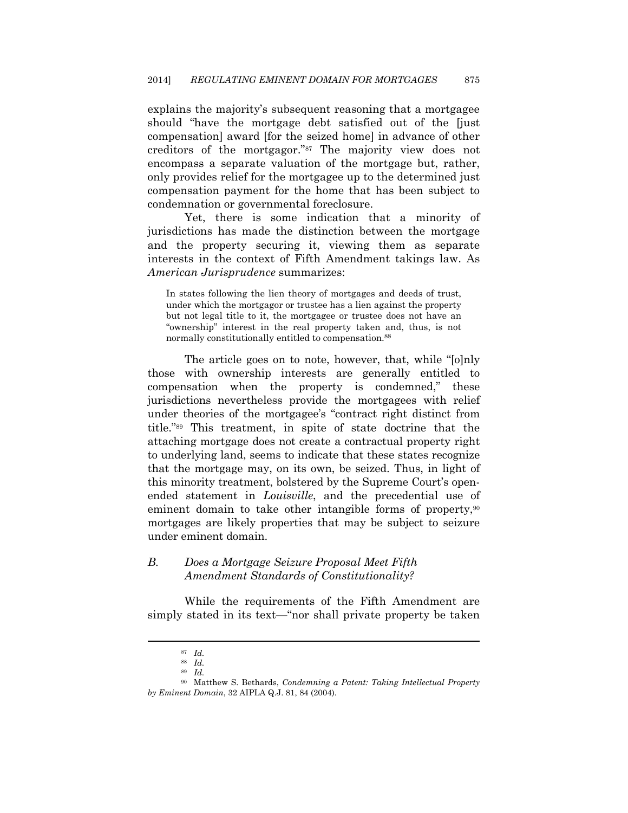explains the majority's subsequent reasoning that a mortgagee should "have the mortgage debt satisfied out of the [just compensation] award [for the seized home] in advance of other creditors of the mortgagor."87 The majority view does not encompass a separate valuation of the mortgage but, rather, only provides relief for the mortgagee up to the determined just compensation payment for the home that has been subject to condemnation or governmental foreclosure.

Yet, there is some indication that a minority of jurisdictions has made the distinction between the mortgage and the property securing it, viewing them as separate interests in the context of Fifth Amendment takings law. As *American Jurisprudence* summarizes:

In states following the lien theory of mortgages and deeds of trust, under which the mortgagor or trustee has a lien against the property but not legal title to it, the mortgagee or trustee does not have an "ownership" interest in the real property taken and, thus, is not normally constitutionally entitled to compensation.88

The article goes on to note, however, that, while "[o]nly those with ownership interests are generally entitled to compensation when the property is condemned," these jurisdictions nevertheless provide the mortgagees with relief under theories of the mortgagee's "contract right distinct from title."89 This treatment, in spite of state doctrine that the attaching mortgage does not create a contractual property right to underlying land, seems to indicate that these states recognize that the mortgage may, on its own, be seized. Thus, in light of this minority treatment, bolstered by the Supreme Court's openended statement in *Louisville*, and the precedential use of eminent domain to take other intangible forms of property,<sup>90</sup> mortgages are likely properties that may be subject to seizure under eminent domain.

#### *B. Does a Mortgage Seizure Proposal Meet Fifth Amendment Standards of Constitutionality?*

While the requirements of the Fifth Amendment are simply stated in its text—"nor shall private property be taken

<sup>87</sup> *Id.*

<sup>88</sup> *Id.*

<sup>89</sup> *Id.*

<sup>90</sup> Matthew S. Bethards, *Condemning a Patent: Taking Intellectual Property by Eminent Domain*, 32 AIPLA Q.J. 81, 84 (2004).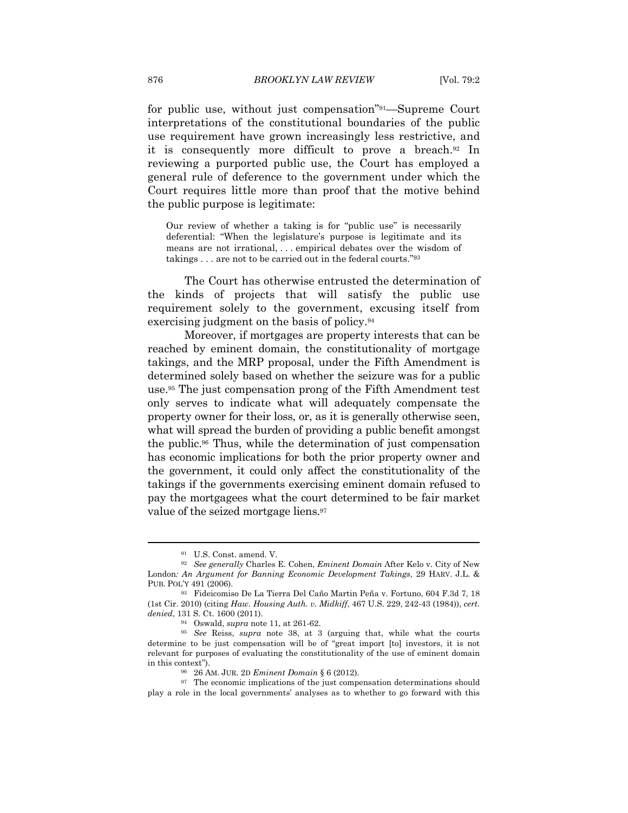for public use, without just compensation"91—Supreme Court interpretations of the constitutional boundaries of the public use requirement have grown increasingly less restrictive, and it is consequently more difficult to prove a breach.92 In reviewing a purported public use, the Court has employed a general rule of deference to the government under which the Court requires little more than proof that the motive behind the public purpose is legitimate:

Our review of whether a taking is for "public use" is necessarily deferential: "When the legislature's purpose is legitimate and its means are not irrational, . . . empirical debates over the wisdom of takings . . . are not to be carried out in the federal courts."93

The Court has otherwise entrusted the determination of the kinds of projects that will satisfy the public use requirement solely to the government, excusing itself from exercising judgment on the basis of policy.94

Moreover, if mortgages are property interests that can be reached by eminent domain, the constitutionality of mortgage takings, and the MRP proposal, under the Fifth Amendment is determined solely based on whether the seizure was for a public use.95 The just compensation prong of the Fifth Amendment test only serves to indicate what will adequately compensate the property owner for their loss, or, as it is generally otherwise seen, what will spread the burden of providing a public benefit amongst the public.96 Thus, while the determination of just compensation has economic implications for both the prior property owner and the government, it could only affect the constitutionality of the takings if the governments exercising eminent domain refused to pay the mortgagees what the court determined to be fair market value of the seized mortgage liens.97

<sup>91</sup> U.S. Const. amend. V.

<sup>92</sup> *See generally* Charles E. Cohen, *Eminent Domain* After Kelo v. City of New London*: An Argument for Banning Economic Development Takings*, 29 HARV. J.L. & PUB. POL'Y 491 (2006).

<sup>93</sup> Fideicomiso De La Tierra Del Caño Martin Peña v. Fortuno, 604 F.3d 7, 18 (1st Cir. 2010) (citing *Haw. Housing Auth. v. Midkiff*, 467 U.S. 229, 242-43 (1984)), *cert. denied*, 131 S. Ct. 1600 (2011).

<sup>94</sup> Oswald, *supra* note 11, at 261-62. 95 *See* Reiss, *supra* note 38, at 3 (arguing that, while what the courts determine to be just compensation will be of "great import [to] investors, it is not relevant for purposes of evaluating the constitutionality of the use of eminent domain in this context"). 96 26 AM. JUR. 2D *Eminent Domain* § 6 (2012). 97 The economic implications of the just compensation determinations should

play a role in the local governments' analyses as to whether to go forward with this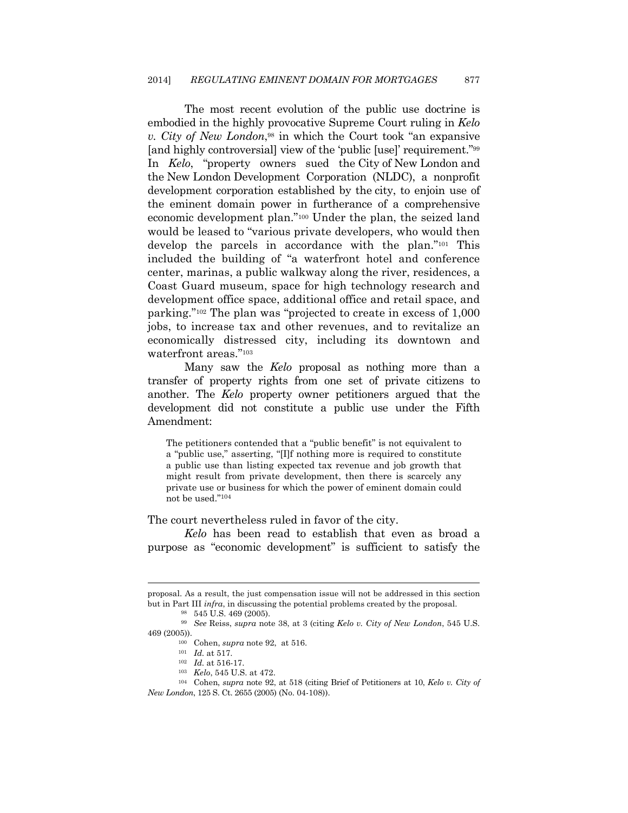The most recent evolution of the public use doctrine is embodied in the highly provocative Supreme Court ruling in *Kelo v. City of New London*,98 in which the Court took "an expansive [and highly controversial] view of the 'public [use]' requirement."99 In *Kelo*, "property owners sued the City of New London and the New London Development Corporation (NLDC), a nonprofit development corporation established by the city, to enjoin use of the eminent domain power in furtherance of a comprehensive economic development plan."100 Under the plan, the seized land would be leased to "various private developers, who would then develop the parcels in accordance with the plan."101 This included the building of "a waterfront hotel and conference center, marinas, a public walkway along the river, residences, a Coast Guard museum, space for high technology research and development office space, additional office and retail space, and parking."102 The plan was "projected to create in excess of 1,000 jobs, to increase tax and other revenues, and to revitalize an economically distressed city, including its downtown and waterfront areas."103

Many saw the *Kelo* proposal as nothing more than a transfer of property rights from one set of private citizens to another. The *Kelo* property owner petitioners argued that the development did not constitute a public use under the Fifth Amendment:

The petitioners contended that a "public benefit" is not equivalent to a "public use," asserting, "[I]f nothing more is required to constitute a public use than listing expected tax revenue and job growth that might result from private development, then there is scarcely any private use or business for which the power of eminent domain could not be used."104

The court nevertheless ruled in favor of the city.

*Kelo* has been read to establish that even as broad a purpose as "economic development" is sufficient to satisfy the

 $\overline{\phantom{a}}$ 

proposal. As a result, the just compensation issue will not be addressed in this section but in Part III *infra*, in discussing the potential problems created by the proposal. 98 545 U.S. 469 (2005).

<sup>99</sup> *See* Reiss, *supra* note 38, at 3 (citing *Kelo v. City of New London*, 545 U.S.

<sup>&</sup>lt;sup>100</sup> Cohen, *supra* note 92, at 516.<br>
<sup>101</sup> *Id.* at 517.<br>
<sup>102</sup> *Id.* at 516-17.<br>
<sup>102</sup> *Kelo*, 545 U.S. at 472.<br>
<sup>103</sup> Cohen, *supra* note 92, at 518 (citing Brief of Petitioners at 10, *Kelo* v. *City* of *New London*, 125 S. Ct. 2655 (2005) (No. 04-108)).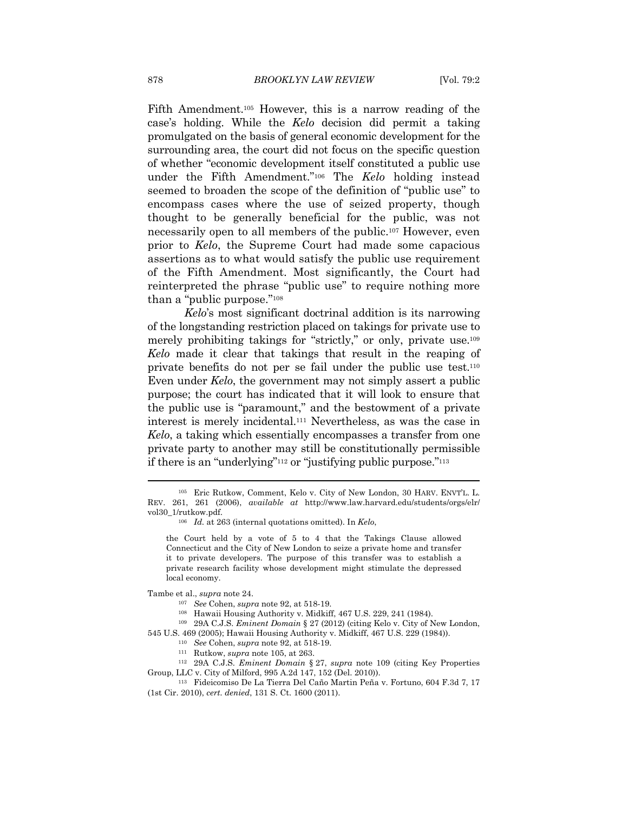Fifth Amendment.105 However, this is a narrow reading of the case's holding. While the *Kelo* decision did permit a taking promulgated on the basis of general economic development for the surrounding area, the court did not focus on the specific question of whether "economic development itself constituted a public use under the Fifth Amendment."106 The *Kelo* holding instead seemed to broaden the scope of the definition of "public use" to encompass cases where the use of seized property, though thought to be generally beneficial for the public, was not necessarily open to all members of the public.107 However, even prior to *Kelo*, the Supreme Court had made some capacious assertions as to what would satisfy the public use requirement of the Fifth Amendment. Most significantly, the Court had reinterpreted the phrase "public use" to require nothing more than a "public purpose."108

*Kelo*'s most significant doctrinal addition is its narrowing of the longstanding restriction placed on takings for private use to merely prohibiting takings for "strictly," or only, private use.109 *Kelo* made it clear that takings that result in the reaping of private benefits do not per se fail under the public use test.110 Even under *Kelo*, the government may not simply assert a public purpose; the court has indicated that it will look to ensure that the public use is "paramount," and the bestowment of a private interest is merely incidental.111 Nevertheless, as was the case in *Kelo*, a taking which essentially encompasses a transfer from one private party to another may still be constitutionally permissible if there is an "underlying"112 or "justifying public purpose."113

the Court held by a vote of 5 to 4 that the Takings Clause allowed Connecticut and the City of New London to seize a private home and transfer it to private developers. The purpose of this transfer was to establish a private research facility whose development might stimulate the depressed local economy.

Tambe et al., *supra* note 24.

<sup>107</sup> See Cohen, *supra* note 92, at 518-19.<br><sup>108</sup> Hawaii Housing Authority v. Midkiff, 467 U.S. 229, 241 (1984).<br><sup>109</sup> 29A C.J.S. *Eminent Domain* § 27 (2012) (citing Kelo v. City of New London, 545 U.S. 469 (2005); Hawaii Housing Authority v. Midkiff, 467 U.S. 229 (1984)).<br><sup>110</sup> See Cohen, supra note 92, at 518-19.

<sup>110</sup> *See* Cohen, *supra* note 92, at 518-19. 111 Rutkow, *supra* note 105, at 263. 112 29A C.J.S. *Eminent Domain* § 27, *supra* note 109 (citing Key Properties Group, LLC v. City of Milford, 995 A.2d 147, 152 (Del. 2010)).

113 Fideicomiso De La Tierra Del Caño Martin Peña v. Fortuno, 604 F.3d 7, 17 (1st Cir. 2010), *cert. denied*, 131 S. Ct. 1600 (2011).

<sup>105</sup> Eric Rutkow, Comment, Kelo v. City of New London, 30 HARV. ENVT'L. L. REV. 261, 261 (2006), *available at* http://www.law.harvard.edu/students/orgs/elr/ vol30\_1/rutkow.pdf. 106 *Id.* at 263 (internal quotations omitted). In *Kelo*,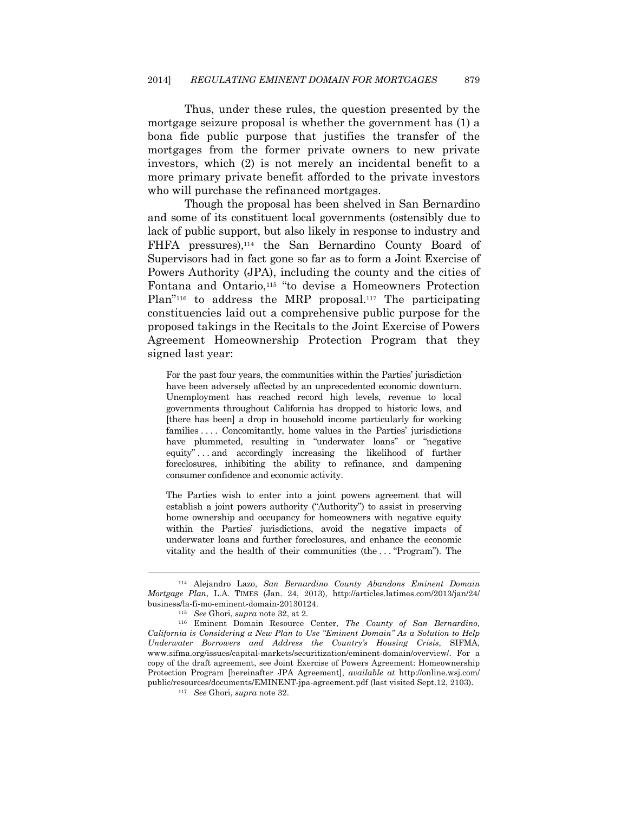Thus, under these rules, the question presented by the mortgage seizure proposal is whether the government has (1) a bona fide public purpose that justifies the transfer of the mortgages from the former private owners to new private investors, which (2) is not merely an incidental benefit to a more primary private benefit afforded to the private investors who will purchase the refinanced mortgages.

Though the proposal has been shelved in San Bernardino and some of its constituent local governments (ostensibly due to lack of public support, but also likely in response to industry and FHFA pressures),114 the San Bernardino County Board of Supervisors had in fact gone so far as to form a Joint Exercise of Powers Authority (JPA), including the county and the cities of Fontana and Ontario,115 "to devise a Homeowners Protection Plan"<sup>116</sup> to address the MRP proposal.<sup>117</sup> The participating constituencies laid out a comprehensive public purpose for the proposed takings in the Recitals to the Joint Exercise of Powers Agreement Homeownership Protection Program that they signed last year:

For the past four years, the communities within the Parties' jurisdiction have been adversely affected by an unprecedented economic downturn. Unemployment has reached record high levels, revenue to local governments throughout California has dropped to historic lows, and [there has been] a drop in household income particularly for working families . . . . Concomitantly, home values in the Parties' jurisdictions have plummeted, resulting in "underwater loans" or "negative equity" . . . and accordingly increasing the likelihood of further foreclosures, inhibiting the ability to refinance, and dampening consumer confidence and economic activity.

The Parties wish to enter into a joint powers agreement that will establish a joint powers authority ("Authority") to assist in preserving home ownership and occupancy for homeowners with negative equity within the Parties' jurisdictions, avoid the negative impacts of underwater loans and further foreclosures, and enhance the economic vitality and the health of their communities (the . . . "Program"). The

<sup>114</sup> Alejandro Lazo, *San Bernardino County Abandons Eminent Domain Mortgage Plan*, L.A. TIMES (Jan. 24, 2013), http://articles.latimes.com/2013/jan/24/ business/la-fi-mo-eminent-domain-20130124. 115 *See* Ghori, *supra* note 32, at 2. 116 Eminent Domain Resource Center, *The County of San Bernardino,* 

*California is Considering a New Plan to Use "Eminent Domain" As a Solution to Help Underwater Borrowers and Address the Country's Housing Crisis*, SIFMA, www.sifma.org/issues/capital-markets/securitization/eminent-domain/overview/. For a copy of the draft agreement, see Joint Exercise of Powers Agreement: Homeownership Protection Program [hereinafter JPA Agreement], *available at* http://online.wsj.com/ public/resources/documents/EMINENT-jpa-agreement.pdf (last visited Sept.12, 2103). 117 *See* Ghori, *supra* note 32.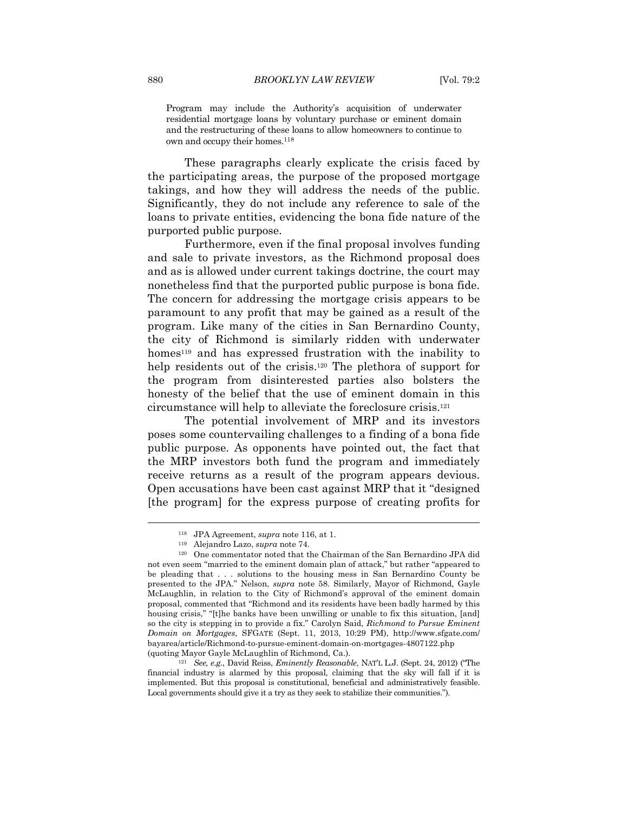Program may include the Authority's acquisition of underwater residential mortgage loans by voluntary purchase or eminent domain and the restructuring of these loans to allow homeowners to continue to own and occupy their homes.<sup>118</sup>

These paragraphs clearly explicate the crisis faced by the participating areas, the purpose of the proposed mortgage takings, and how they will address the needs of the public. Significantly, they do not include any reference to sale of the loans to private entities, evidencing the bona fide nature of the purported public purpose.

Furthermore, even if the final proposal involves funding and sale to private investors, as the Richmond proposal does and as is allowed under current takings doctrine, the court may nonetheless find that the purported public purpose is bona fide. The concern for addressing the mortgage crisis appears to be paramount to any profit that may be gained as a result of the program. Like many of the cities in San Bernardino County, the city of Richmond is similarly ridden with underwater homes<sup>119</sup> and has expressed frustration with the inability to help residents out of the crisis.120 The plethora of support for the program from disinterested parties also bolsters the honesty of the belief that the use of eminent domain in this circumstance will help to alleviate the foreclosure crisis.121

The potential involvement of MRP and its investors poses some countervailing challenges to a finding of a bona fide public purpose. As opponents have pointed out, the fact that the MRP investors both fund the program and immediately receive returns as a result of the program appears devious. Open accusations have been cast against MRP that it "designed [the program] for the express purpose of creating profits for

<sup>118</sup> JPA Agreement, *supra* note 116, at 1. 119 Alejandro Lazo, *supra* note 74. 120 One commentator noted that the Chairman of the San Bernardino JPA did not even seem "married to the eminent domain plan of attack," but rather "appeared to be pleading that . . . solutions to the housing mess in San Bernardino County be presented to the JPA." Nelson, *supra* note 58. Similarly, Mayor of Richmond, Gayle McLaughlin, in relation to the City of Richmond's approval of the eminent domain proposal, commented that "Richmond and its residents have been badly harmed by this housing crisis," "[t]he banks have been unwilling or unable to fix this situation, [and] so the city is stepping in to provide a fix." Carolyn Said, *Richmond to Pursue Eminent Domain on Mortgages*, SFGATE (Sept. 11, 2013, 10:29 PM), http://www.sfgate.com/ bayarea/article/Richmond-to-pursue-eminent-domain-on-mortgages-4807122.php

<sup>(</sup>quoting Mayor Gayle McLaughlin of Richmond, Ca.). 121 *See, e.g.*, David Reiss, *Eminently Reasonable*, NAT'L L.J. (Sept. 24, 2012) ("The financial industry is alarmed by this proposal, claiming that the sky will fall if it is implemented. But this proposal is constitutional, beneficial and administratively feasible. Local governments should give it a try as they seek to stabilize their communities.").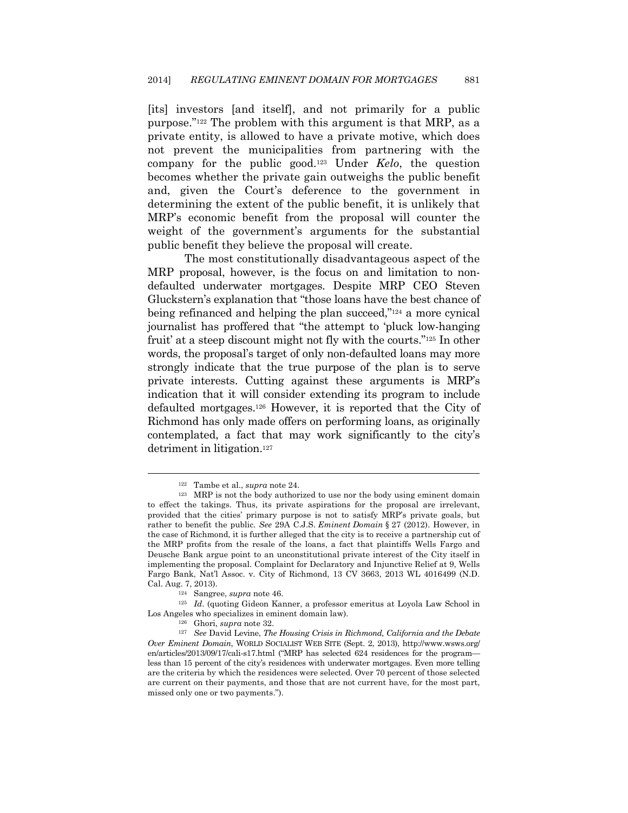[its] investors [and itself], and not primarily for a public purpose."122 The problem with this argument is that MRP, as a private entity, is allowed to have a private motive, which does not prevent the municipalities from partnering with the company for the public good.123 Under *Kelo*, the question becomes whether the private gain outweighs the public benefit and, given the Court's deference to the government in determining the extent of the public benefit, it is unlikely that MRP's economic benefit from the proposal will counter the weight of the government's arguments for the substantial public benefit they believe the proposal will create.

The most constitutionally disadvantageous aspect of the MRP proposal, however, is the focus on and limitation to nondefaulted underwater mortgages. Despite MRP CEO Steven Gluckstern's explanation that "those loans have the best chance of being refinanced and helping the plan succeed,"124 a more cynical journalist has proffered that "the attempt to 'pluck low-hanging fruit' at a steep discount might not fly with the courts."125 In other words, the proposal's target of only non-defaulted loans may more strongly indicate that the true purpose of the plan is to serve private interests. Cutting against these arguments is MRP's indication that it will consider extending its program to include defaulted mortgages.126 However, it is reported that the City of Richmond has only made offers on performing loans, as originally contemplated, a fact that may work significantly to the city's detriment in litigation.127

<sup>&</sup>lt;sup>122</sup> Tambe et al., *supra* note 24.<br><sup>123</sup> MRP is not the body authorized to use nor the body using eminent domain to effect the takings. Thus, its private aspirations for the proposal are irrelevant, provided that the cities' primary purpose is not to satisfy MRP's private goals, but rather to benefit the public. *See* 29A C.J.S. *Eminent Domain* § 27 (2012). However, in the case of Richmond, it is further alleged that the city is to receive a partnership cut of the MRP profits from the resale of the loans, a fact that plaintiffs Wells Fargo and Deusche Bank argue point to an unconstitutional private interest of the City itself in implementing the proposal. Complaint for Declaratory and Injunctive Relief at 9, Wells Fargo Bank, Nat'l Assoc. v. City of Richmond, 13 CV 3663, 2013 WL 4016499 (N.D. Cal. Aug. 7, 2013). 124 Sangree, *supra* note 46. 125 *Id*. (quoting Gideon Kanner, a professor emeritus at Loyola Law School in

Los Angeles who specializes in eminent domain law). 126 Ghori, *supra* note 32. 127 *See* David Levine, *The Housing Crisis in Richmond, California and the Debate* 

*Over Eminent Domain*, WORLD SOCIALIST WEB SITE (Sept. 2, 2013), http://www.wsws.org/ en/articles/2013/09/17/cali-s17.html ("MRP has selected 624 residences for the program less than 15 percent of the city's residences with underwater mortgages. Even more telling are the criteria by which the residences were selected. Over 70 percent of those selected are current on their payments, and those that are not current have, for the most part, missed only one or two payments.").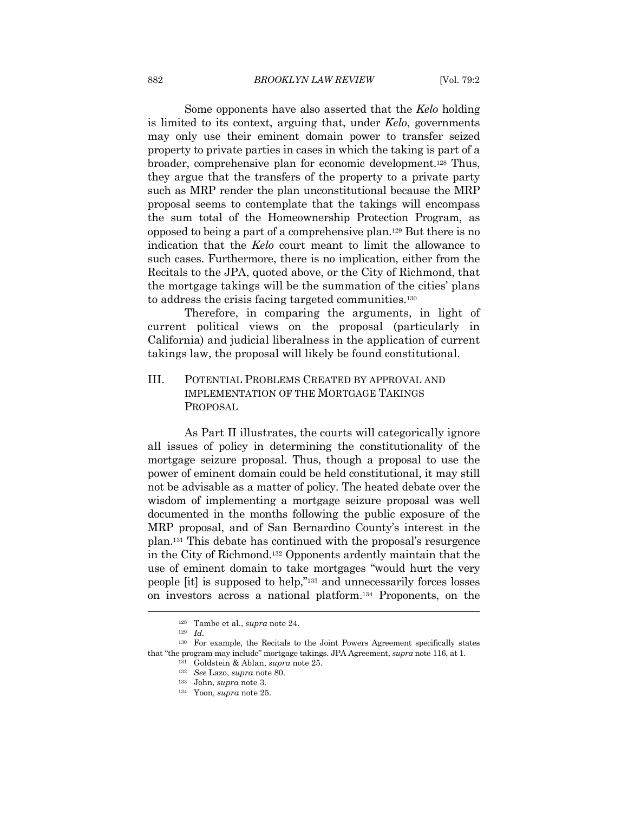Some opponents have also asserted that the *Kelo* holding is limited to its context, arguing that, under *Kelo*, governments may only use their eminent domain power to transfer seized property to private parties in cases in which the taking is part of a broader, comprehensive plan for economic development.128 Thus, they argue that the transfers of the property to a private party such as MRP render the plan unconstitutional because the MRP proposal seems to contemplate that the takings will encompass the sum total of the Homeownership Protection Program, as opposed to being a part of a comprehensive plan.129 But there is no indication that the *Kelo* court meant to limit the allowance to such cases. Furthermore, there is no implication, either from the Recitals to the JPA, quoted above, or the City of Richmond, that the mortgage takings will be the summation of the cities' plans to address the crisis facing targeted communities.130

Therefore, in comparing the arguments, in light of current political views on the proposal (particularly in California) and judicial liberalness in the application of current takings law, the proposal will likely be found constitutional.

## III. POTENTIAL PROBLEMS CREATED BY APPROVAL AND IMPLEMENTATION OF THE MORTGAGE TAKINGS PROPOSAL

As Part II illustrates, the courts will categorically ignore all issues of policy in determining the constitutionality of the mortgage seizure proposal. Thus, though a proposal to use the power of eminent domain could be held constitutional, it may still not be advisable as a matter of policy. The heated debate over the wisdom of implementing a mortgage seizure proposal was well documented in the months following the public exposure of the MRP proposal, and of San Bernardino County's interest in the plan.131 This debate has continued with the proposal's resurgence in the City of Richmond.132 Opponents ardently maintain that the use of eminent domain to take mortgages "would hurt the very people [it] is supposed to help,"133 and unnecessarily forces losses on investors across a national platform.134 Proponents, on the

<sup>128</sup> Tambe et al., *supra* note 24. 129 *Id.*

<sup>130</sup> For example, the Recitals to the Joint Powers Agreement specifically states that "the program may include" mortgage takings. JPA Agreement, *supra* note 116, at 1.<br><sup>131</sup> Goldstein & Ablan, *supra* note 25.<br><sup>132</sup> See Lazo, *supra* note 80.

<sup>133</sup> John, *supra* note 3. 134 Yoon, *supra* note 25.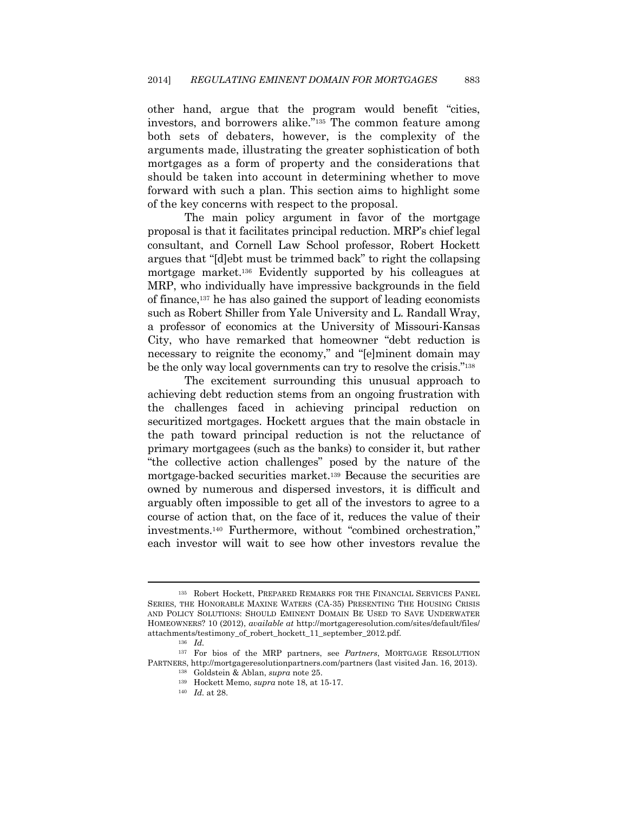other hand, argue that the program would benefit "cities, investors, and borrowers alike."135 The common feature among both sets of debaters, however, is the complexity of the arguments made, illustrating the greater sophistication of both mortgages as a form of property and the considerations that should be taken into account in determining whether to move forward with such a plan. This section aims to highlight some of the key concerns with respect to the proposal.

The main policy argument in favor of the mortgage proposal is that it facilitates principal reduction. MRP's chief legal consultant, and Cornell Law School professor, Robert Hockett argues that "[d]ebt must be trimmed back" to right the collapsing mortgage market.136 Evidently supported by his colleagues at MRP, who individually have impressive backgrounds in the field of finance,137 he has also gained the support of leading economists such as Robert Shiller from Yale University and L. Randall Wray, a professor of economics at the University of Missouri-Kansas City, who have remarked that homeowner "debt reduction is necessary to reignite the economy," and "[e]minent domain may be the only way local governments can try to resolve the crisis."138

The excitement surrounding this unusual approach to achieving debt reduction stems from an ongoing frustration with the challenges faced in achieving principal reduction on securitized mortgages. Hockett argues that the main obstacle in the path toward principal reduction is not the reluctance of primary mortgagees (such as the banks) to consider it, but rather "the collective action challenges" posed by the nature of the mortgage-backed securities market.139 Because the securities are owned by numerous and dispersed investors, it is difficult and arguably often impossible to get all of the investors to agree to a course of action that, on the face of it, reduces the value of their investments.140 Furthermore, without "combined orchestration," each investor will wait to see how other investors revalue the

<sup>135</sup> Robert Hockett, PREPARED REMARKS FOR THE FINANCIAL SERVICES PANEL SERIES, THE HONORABLE MAXINE WATERS (CA-35) PRESENTING THE HOUSING CRISIS AND POLICY SOLUTIONS: SHOULD EMINENT DOMAIN BE USED TO SAVE UNDERWATER HOMEOWNERS? 10 (2012), *available at* http://mortgageresolution.com/sites/default/files/ attachments/testimony\_of\_robert\_hockett\_11\_september\_2012.pdf. 136 *Id.*

<sup>137</sup> For bios of the MRP partners, see *Partners*, MORTGAGE RESOLUTION PARTNERS, http://mortgageresolutionpartners.com/partners (last visited Jan. 16, 2013). 138 Goldstein & Ablan, *supra* note 25. 139 Hockett Memo, *supra* note 18, at 15-17. 140 *Id.* at 28.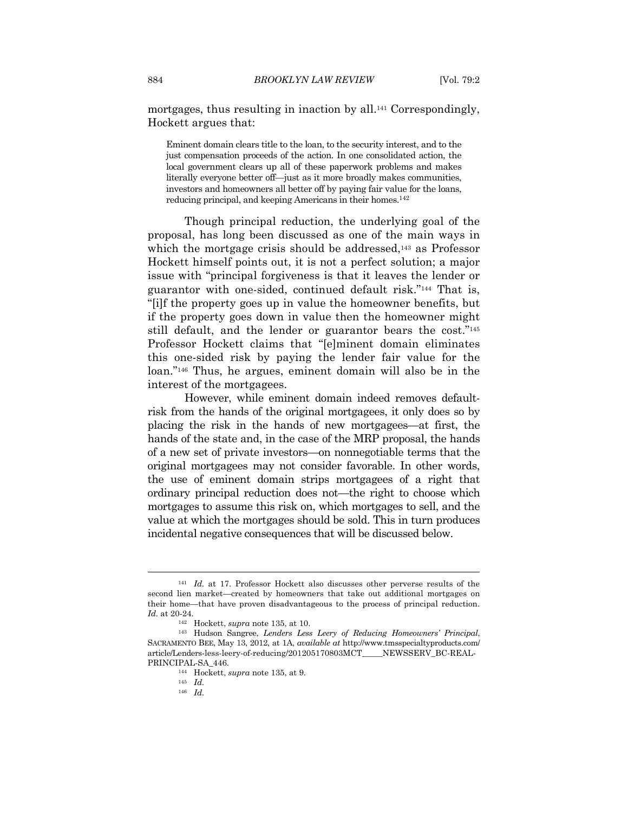mortgages, thus resulting in inaction by all.141 Correspondingly, Hockett argues that:

Eminent domain clears title to the loan, to the security interest, and to the just compensation proceeds of the action. In one consolidated action, the local government clears up all of these paperwork problems and makes literally everyone better off—just as it more broadly makes communities, investors and homeowners all better off by paying fair value for the loans, reducing principal, and keeping Americans in their homes.142

Though principal reduction, the underlying goal of the proposal, has long been discussed as one of the main ways in which the mortgage crisis should be addressed,<sup>143</sup> as Professor Hockett himself points out, it is not a perfect solution; a major issue with "principal forgiveness is that it leaves the lender or guarantor with one-sided, continued default risk."144 That is, "[i]f the property goes up in value the homeowner benefits, but if the property goes down in value then the homeowner might still default, and the lender or guarantor bears the cost."145 Professor Hockett claims that "[e]minent domain eliminates this one-sided risk by paying the lender fair value for the loan."146 Thus, he argues, eminent domain will also be in the interest of the mortgagees.

However, while eminent domain indeed removes defaultrisk from the hands of the original mortgagees, it only does so by placing the risk in the hands of new mortgagees—at first, the hands of the state and, in the case of the MRP proposal, the hands of a new set of private investors—on nonnegotiable terms that the original mortgagees may not consider favorable. In other words, the use of eminent domain strips mortgagees of a right that ordinary principal reduction does not—the right to choose which mortgages to assume this risk on, which mortgages to sell, and the value at which the mortgages should be sold. This in turn produces incidental negative consequences that will be discussed below.

<sup>141</sup> *Id.* at 17. Professor Hockett also discusses other perverse results of the second lien market—created by homeowners that take out additional mortgages on their home—that have proven disadvantageous to the process of principal reduction. *Id.* at 20-24. 142 Hockett, *supra* note 135, at 10. 143 Hudson Sangree, *Lenders Less Leery of Reducing Homeowners' Principal*,

SACRAMENTO BEE, May 13, 2012, at 1A, *available at* http://www.tmsspecialtyproducts.com/ article/Lenders-less-leery-of-reducing/201205170803MCT\_\_\_\_\_NEWSSERV\_BC-REAL-PRINCIPAL-SA\_446. 144 Hockett, *supra* note 135, at 9. 145 *Id.* 

<sup>146</sup> *Id.*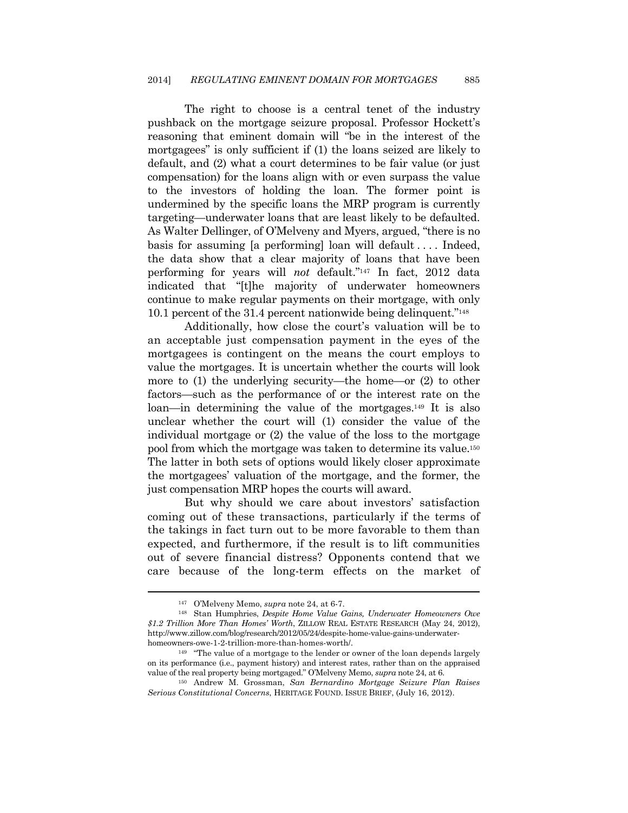The right to choose is a central tenet of the industry pushback on the mortgage seizure proposal. Professor Hockett's reasoning that eminent domain will "be in the interest of the mortgagees" is only sufficient if (1) the loans seized are likely to default, and (2) what a court determines to be fair value (or just compensation) for the loans align with or even surpass the value to the investors of holding the loan. The former point is undermined by the specific loans the MRP program is currently targeting—underwater loans that are least likely to be defaulted. As Walter Dellinger, of O'Melveny and Myers, argued, "there is no basis for assuming [a performing] loan will default . . . . Indeed, the data show that a clear majority of loans that have been performing for years will *not* default."147 In fact, 2012 data indicated that "[t]he majority of underwater homeowners continue to make regular payments on their mortgage, with only 10.1 percent of the 31.4 percent nationwide being delinquent."148

Additionally, how close the court's valuation will be to an acceptable just compensation payment in the eyes of the mortgagees is contingent on the means the court employs to value the mortgages. It is uncertain whether the courts will look more to (1) the underlying security—the home—or (2) to other factors—such as the performance of or the interest rate on the loan—in determining the value of the mortgages.149 It is also unclear whether the court will (1) consider the value of the individual mortgage or (2) the value of the loss to the mortgage pool from which the mortgage was taken to determine its value.150 The latter in both sets of options would likely closer approximate the mortgagees' valuation of the mortgage, and the former, the just compensation MRP hopes the courts will award.

But why should we care about investors' satisfaction coming out of these transactions, particularly if the terms of the takings in fact turn out to be more favorable to them than expected, and furthermore, if the result is to lift communities out of severe financial distress? Opponents contend that we care because of the long-term effects on the market of

<sup>147</sup> O'Melveny Memo, *supra* note 24, at 6-7. 148 Stan Humphries, *Despite Home Value Gains, Underwater Homeowners Owe \$1.2 Trillion More Than Homes' Worth*, ZILLOW REAL ESTATE RESEARCH (May 24, 2012), http://www.zillow.com/blog/research/2012/05/24/despite-home-value-gains-underwaterhomeowners-owe-1-2-trillion-more-than-homes-worth/.<br><sup>149</sup> "The value of a mortgage to the lender or owner of the loan depends largely

on its performance (i.e., payment history) and interest rates, rather than on the appraised value of the real property being mortgaged." O'Melveny Memo, *supra* note 24, at 6.

<sup>&</sup>lt;sup>150</sup> Andrew M. Grossman, *San Bernardino Mortgage Seizure Plan Raises Serious Constitutional Concerns*, HERITAGE FOUND. ISSUE BRIEF, (July 16, 2012).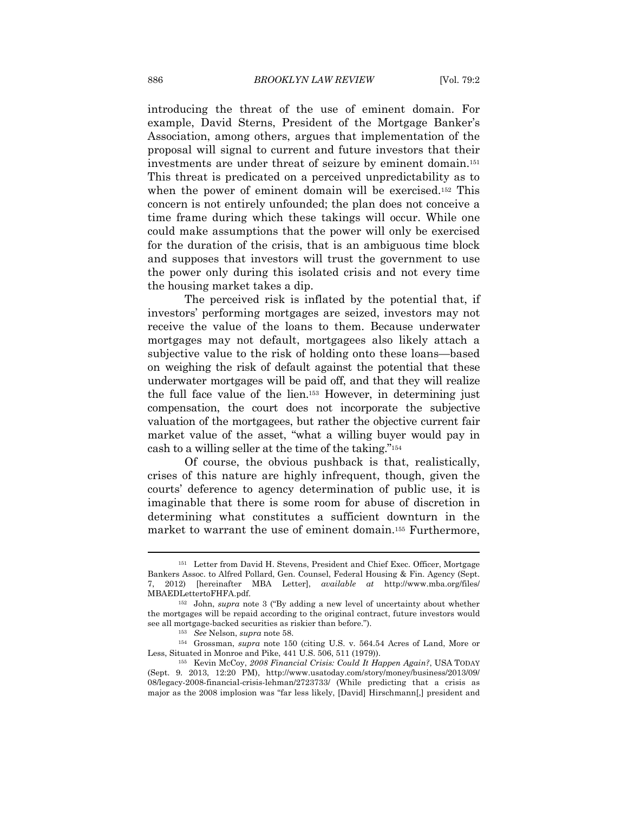introducing the threat of the use of eminent domain. For example, David Sterns, President of the Mortgage Banker's Association, among others, argues that implementation of the proposal will signal to current and future investors that their investments are under threat of seizure by eminent domain.151 This threat is predicated on a perceived unpredictability as to when the power of eminent domain will be exercised.152 This concern is not entirely unfounded; the plan does not conceive a time frame during which these takings will occur. While one could make assumptions that the power will only be exercised for the duration of the crisis, that is an ambiguous time block and supposes that investors will trust the government to use the power only during this isolated crisis and not every time the housing market takes a dip.

The perceived risk is inflated by the potential that, if investors' performing mortgages are seized, investors may not receive the value of the loans to them. Because underwater mortgages may not default, mortgagees also likely attach a subjective value to the risk of holding onto these loans—based on weighing the risk of default against the potential that these underwater mortgages will be paid off, and that they will realize the full face value of the lien.153 However, in determining just compensation, the court does not incorporate the subjective valuation of the mortgagees, but rather the objective current fair market value of the asset, "what a willing buyer would pay in cash to a willing seller at the time of the taking."154

Of course, the obvious pushback is that, realistically, crises of this nature are highly infrequent, though, given the courts' deference to agency determination of public use, it is imaginable that there is some room for abuse of discretion in determining what constitutes a sufficient downturn in the market to warrant the use of eminent domain.155 Furthermore,

<sup>151</sup> Letter from David H. Stevens, President and Chief Exec. Officer, Mortgage Bankers Assoc. to Alfred Pollard, Gen. Counsel, Federal Housing & Fin. Agency (Sept. 7, 2012) [hereinafter MBA Letter], *available at* http://www.mba.org/files/

MBAEDLettertoFHFA.pdf. 152 John, *supra* note 3 ("By adding a new level of uncertainty about whether the mortgages will be repaid according to the original contract, future investors would see all mortgage-backed securities as riskier than before."). 153 *See* Nelson, *supra* note 58. 154 Grossman, *supra* note 150 (citing U.S. v. 564.54 Acres of Land, More or

Less, Situated in Monroe and Pike, 441 U.S. 506, 511 (1979)). 155 Kevin McCoy, *2008 Financial Crisis: Could It Happen Again?*, USA TODAY

<sup>(</sup>Sept. 9. 2013, 12:20 PM), http://www.usatoday.com/story/money/business/2013/09/ 08/legacy-2008-financial-crisis-lehman/2723733/ (While predicting that a crisis as major as the 2008 implosion was "far less likely, [David] Hirschmann[,] president and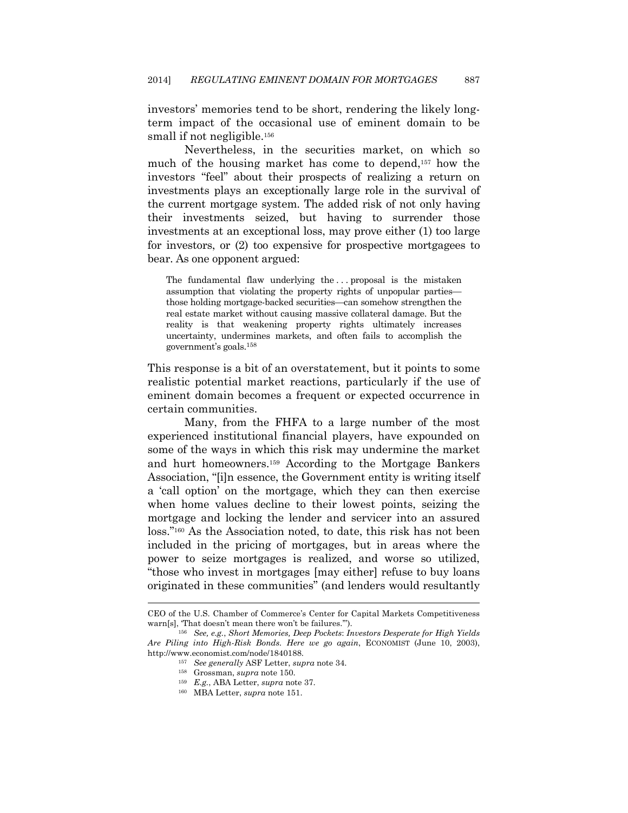investors' memories tend to be short, rendering the likely longterm impact of the occasional use of eminent domain to be small if not negligible.<sup>156</sup>

Nevertheless, in the securities market, on which so much of the housing market has come to depend,157 how the investors "feel" about their prospects of realizing a return on investments plays an exceptionally large role in the survival of the current mortgage system. The added risk of not only having their investments seized, but having to surrender those investments at an exceptional loss, may prove either (1) too large for investors, or (2) too expensive for prospective mortgagees to bear. As one opponent argued:

The fundamental flaw underlying the ... proposal is the mistaken assumption that violating the property rights of unpopular parties those holding mortgage-backed securities—can somehow strengthen the real estate market without causing massive collateral damage. But the reality is that weakening property rights ultimately increases uncertainty, undermines markets, and often fails to accomplish the government's goals.158

This response is a bit of an overstatement, but it points to some realistic potential market reactions, particularly if the use of eminent domain becomes a frequent or expected occurrence in certain communities.

Many, from the FHFA to a large number of the most experienced institutional financial players, have expounded on some of the ways in which this risk may undermine the market and hurt homeowners.159 According to the Mortgage Bankers Association, "[i]n essence, the Government entity is writing itself a 'call option' on the mortgage, which they can then exercise when home values decline to their lowest points, seizing the mortgage and locking the lender and servicer into an assured loss."160 As the Association noted, to date, this risk has not been included in the pricing of mortgages, but in areas where the power to seize mortgages is realized, and worse so utilized, "those who invest in mortgages [may either] refuse to buy loans originated in these communities" (and lenders would resultantly

 $\overline{\phantom{a}}$ 

CEO of the U.S. Chamber of Commerce's Center for Capital Markets Competitiveness

<sup>&</sup>lt;sup>156</sup> See, e.g., *Short Memories, Deep Pockets: Investors Desperate for High Yields Are Piling into High-Risk Bonds. Here we go again*, ECONOMIST (June 10, 2003), http://www.economist.com/node/1840188. 157 *See generally* ASF Letter, *supra* note 34. 158 Grossman, *supra* note 150. 159 *E.g.*, ABA Letter, *supra* note 37. 160 MBA Letter, *supra* note 151.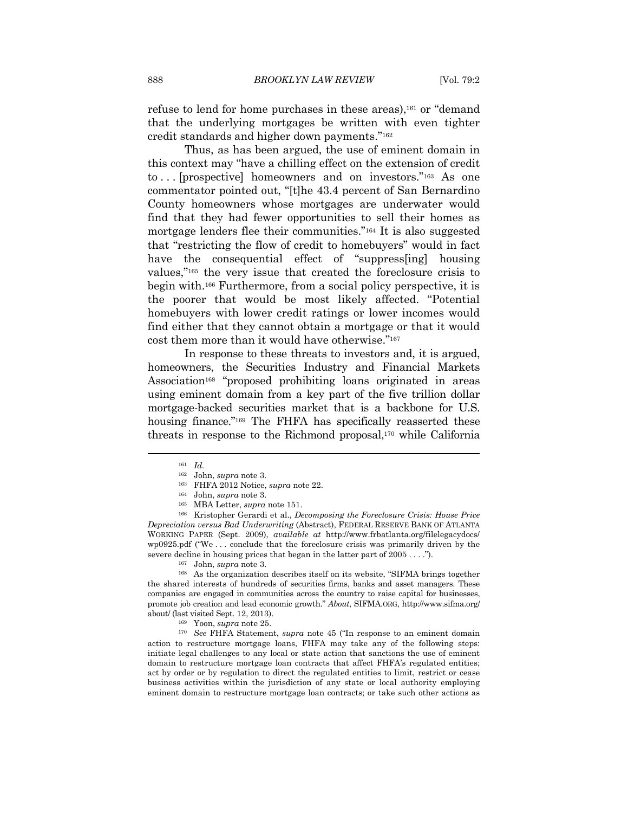refuse to lend for home purchases in these areas),<sup>161</sup> or "demand" that the underlying mortgages be written with even tighter credit standards and higher down payments."162

Thus, as has been argued, the use of eminent domain in this context may "have a chilling effect on the extension of credit to . . . [prospective] homeowners and on investors."163 As one commentator pointed out, "[t]he 43.4 percent of San Bernardino County homeowners whose mortgages are underwater would find that they had fewer opportunities to sell their homes as mortgage lenders flee their communities."164 It is also suggested that "restricting the flow of credit to homebuyers" would in fact have the consequential effect of "suppress[ing] housing values,"165 the very issue that created the foreclosure crisis to begin with.166 Furthermore, from a social policy perspective, it is the poorer that would be most likely affected. "Potential homebuyers with lower credit ratings or lower incomes would find either that they cannot obtain a mortgage or that it would cost them more than it would have otherwise."167

In response to these threats to investors and, it is argued, homeowners, the Securities Industry and Financial Markets Association<sup>168</sup> "proposed prohibiting loans originated in areas using eminent domain from a key part of the five trillion dollar mortgage-backed securities market that is a backbone for U.S. housing finance."<sup>169</sup> The FHFA has specifically reasserted these threats in response to the Richmond proposal,170 while California

the shared interests of hundreds of securities firms, banks and asset managers. These companies are engaged in communities across the country to raise capital for businesses, promote job creation and lead economic growth." *About*, SIFMA.ORG, http://www.sifma.org/ about/ (last visited Sept. 12, 2013). 169 Yoon, *supra* note 25. 170 *See* FHFA Statement, *supra* note 45 ("In response to an eminent domain

action to restructure mortgage loans, FHFA may take any of the following steps: initiate legal challenges to any local or state action that sanctions the use of eminent domain to restructure mortgage loan contracts that affect FHFA's regulated entities; act by order or by regulation to direct the regulated entities to limit, restrict or cease business activities within the jurisdiction of any state or local authority employing eminent domain to restructure mortgage loan contracts; or take such other actions as

<sup>&</sup>lt;sup>161</sup> *Id.* John, *supra* note 3.

<sup>&</sup>lt;sup>163</sup> FHFA 2012 Notice, *supra* note 22.<br><sup>164</sup> John, *supra* note 3.<br><sup>165</sup> MBA Letter, *supra* note 151.<br><sup>166</sup> Kristopher Gerardi et al., *Decomposing the Foreclosure Crisis: House Price Depreciation versus Bad Underwriting* (Abstract), FEDERAL RESERVE BANK OF ATLANTA WORKING PAPER (Sept. 2009), *available at* http://www.frbatlanta.org/filelegacydocs/ wp0925.pdf ("We . . . conclude that the foreclosure crisis was primarily driven by the severe decline in housing prices that began in the latter part of 2005 . . . .").<br><sup>167</sup> John, *supra* note 3.<br><sup>168</sup> As the organization describes itself on its website, "SIFMA brings together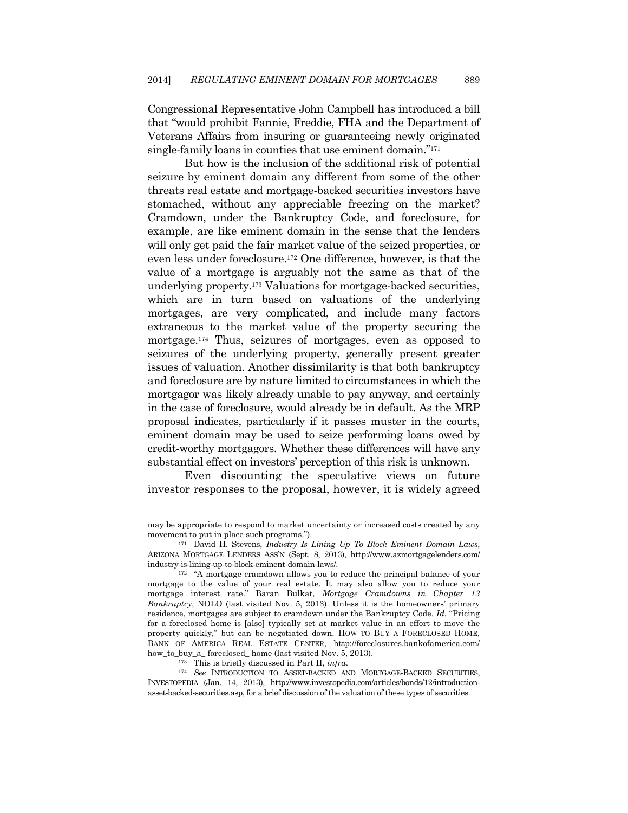Congressional Representative John Campbell has introduced a bill that "would prohibit Fannie, Freddie, FHA and the Department of Veterans Affairs from insuring or guaranteeing newly originated single-family loans in counties that use eminent domain."171

But how is the inclusion of the additional risk of potential seizure by eminent domain any different from some of the other threats real estate and mortgage-backed securities investors have stomached, without any appreciable freezing on the market? Cramdown, under the Bankruptcy Code, and foreclosure, for example, are like eminent domain in the sense that the lenders will only get paid the fair market value of the seized properties, or even less under foreclosure.172 One difference, however, is that the value of a mortgage is arguably not the same as that of the underlying property.173 Valuations for mortgage-backed securities, which are in turn based on valuations of the underlying mortgages, are very complicated, and include many factors extraneous to the market value of the property securing the mortgage.174 Thus, seizures of mortgages, even as opposed to seizures of the underlying property, generally present greater issues of valuation. Another dissimilarity is that both bankruptcy and foreclosure are by nature limited to circumstances in which the mortgagor was likely already unable to pay anyway, and certainly in the case of foreclosure, would already be in default. As the MRP proposal indicates, particularly if it passes muster in the courts, eminent domain may be used to seize performing loans owed by credit-worthy mortgagors. Whether these differences will have any substantial effect on investors' perception of this risk is unknown.

Even discounting the speculative views on future investor responses to the proposal, however, it is widely agreed

 $\overline{\phantom{a}}$ 

may be appropriate to respond to market uncertainty or increased costs created by any movement to put in place such programs.").

<sup>171</sup> David H. Stevens, *Industry Is Lining Up To Block Eminent Domain Laws*, ARIZONA MORTGAGE LENDERS ASS'N (Sept. 8, 2013), http://www.azmortgagelenders.com/ industry-is-lining-up-to-block-eminent-domain-laws/. 172 "A mortgage cramdown allows you to reduce the principal balance of your

mortgage to the value of your real estate. It may also allow you to reduce your mortgage interest rate." Baran Bulkat, *Mortgage Cramdowns in Chapter 13 Bankruptcy*, NOLO (last visited Nov. 5, 2013). Unless it is the homeowners' primary residence, mortgages are subject to cramdown under the Bankruptcy Code. *Id.* "Pricing for a foreclosed home is [also] typically set at market value in an effort to move the property quickly," but can be negotiated down. HOW TO BUY A FORECLOSED HOME, BANK OF AMERICA REAL ESTATE CENTER, http://foreclosures.bankofamerica.com/ how\_to\_buy\_a\_ foreclosed\_ home (last visited Nov. 5, 2013). 173 This is briefly discussed in Part II, *infra*. 174 *See* INTRODUCTION TO ASSET-BACKED AND MORTGAGE-BACKED SECURITIES,

INVESTOPEDIA (Jan. 14, 2013), http://www.investopedia.com/articles/bonds/12/introductionasset-backed-securities.asp, for a brief discussion of the valuation of these types of securities.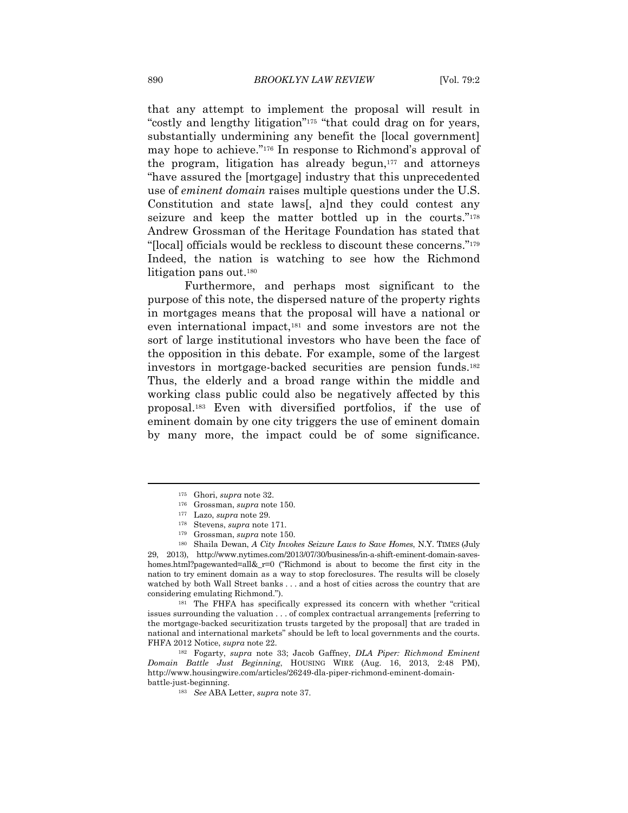that any attempt to implement the proposal will result in "costly and lengthy litigation"175 "that could drag on for years, substantially undermining any benefit the [local government] may hope to achieve."176 In response to Richmond's approval of the program, litigation has already begun,177 and attorneys "have assured the [mortgage] industry that this unprecedented use of *eminent domain* raises multiple questions under the U.S. Constitution and state laws[, a]nd they could contest any seizure and keep the matter bottled up in the courts."178 Andrew Grossman of the Heritage Foundation has stated that "[local] officials would be reckless to discount these concerns."179 Indeed, the nation is watching to see how the Richmond litigation pans out.180

Furthermore, and perhaps most significant to the purpose of this note, the dispersed nature of the property rights in mortgages means that the proposal will have a national or even international impact,<sup>181</sup> and some investors are not the sort of large institutional investors who have been the face of the opposition in this debate. For example, some of the largest investors in mortgage-backed securities are pension funds.182 Thus, the elderly and a broad range within the middle and working class public could also be negatively affected by this proposal.183 Even with diversified portfolios, if the use of eminent domain by one city triggers the use of eminent domain by many more, the impact could be of some significance.

issues surrounding the valuation . . . of complex contractual arrangements [referring to the mortgage-backed securitization trusts targeted by the proposal] that are traded in national and international markets" should be left to local governments and the courts. FHFA 2012 Notice, *supra* note 22. 182 Fogarty, *supra* note 33; Jacob Gaffney, *DLA Piper: Richmond Eminent* 

*Domain Battle Just Beginning*, HOUSING WIRE (Aug. 16, 2013, 2:48 PM), http://www.housingwire.com/articles/26249-dla-piper-richmond-eminent-domainbattle-just-beginning. 183 *See* ABA Letter, *supra* note 37.

<sup>175</sup> Ghori, *supra* note 32. 176 Grossman, *supra* note 150. 177 Lazo, *supra* note 29.

<sup>&</sup>lt;sup>178</sup> Stevens, *supra* note 171.<br><sup>179</sup> Grossman, *supra* note 150.<br><sup>180</sup> Shaila Dewan, *A City Invokes Seizure Laws to Save Homes*, N.Y. TIMES (July 29, 2013), http://www.nytimes.com/2013/07/30/business/in-a-shift-eminent-domain-saveshomes.html?pagewanted=all&  $r=0$  ("Richmond is about to become the first city in the nation to try eminent domain as a way to stop foreclosures. The results will be closely watched by both Wall Street banks . . . and a host of cities across the country that are considering emulating Richmond."). 181 The FHFA has specifically expressed its concern with whether "critical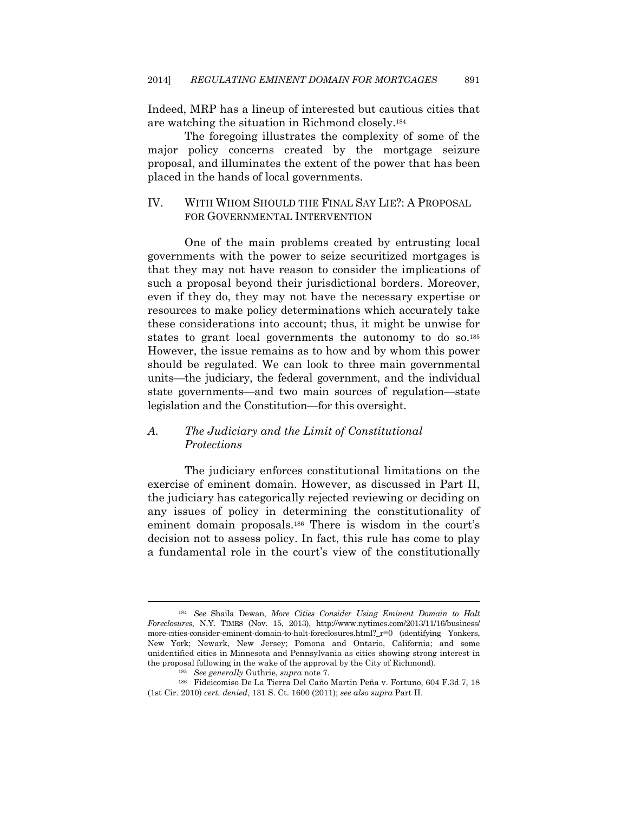Indeed, MRP has a lineup of interested but cautious cities that are watching the situation in Richmond closely.184

The foregoing illustrates the complexity of some of the major policy concerns created by the mortgage seizure proposal, and illuminates the extent of the power that has been placed in the hands of local governments.

#### IV. WITH WHOM SHOULD THE FINAL SAY LIE?: A PROPOSAL FOR GOVERNMENTAL INTERVENTION

One of the main problems created by entrusting local governments with the power to seize securitized mortgages is that they may not have reason to consider the implications of such a proposal beyond their jurisdictional borders. Moreover, even if they do, they may not have the necessary expertise or resources to make policy determinations which accurately take these considerations into account; thus, it might be unwise for states to grant local governments the autonomy to do so.<sup>185</sup> However, the issue remains as to how and by whom this power should be regulated. We can look to three main governmental units—the judiciary, the federal government, and the individual state governments—and two main sources of regulation—state legislation and the Constitution—for this oversight.

### *A. The Judiciary and the Limit of Constitutional Protections*

The judiciary enforces constitutional limitations on the exercise of eminent domain. However, as discussed in Part II, the judiciary has categorically rejected reviewing or deciding on any issues of policy in determining the constitutionality of eminent domain proposals.186 There is wisdom in the court's decision not to assess policy. In fact, this rule has come to play a fundamental role in the court's view of the constitutionally

<sup>184</sup> *See* Shaila Dewan, *More Cities Consider Using Eminent Domain to Halt Foreclosures*, N.Y. TIMES (Nov. 15, 2013), http://www.nytimes.com/2013/11/16/business/ more-cities-consider-eminent-domain-to-halt-foreclosures.html?\_r=0 (identifying Yonkers, New York; Newark, New Jersey; Pomona and Ontario, California; and some unidentified cities in Minnesota and Pennsylvania as cities showing strong interest in the proposal following in the wake of the approval by the City of Richmond).<br><sup>185</sup> *See generally* Guthrie, *supra* note 7.<br><sup>186</sup> Fideicomiso De La Tierra Del Caño Martin Peña v. Fortuno, 604 F.3d 7, 18

<sup>(1</sup>st Cir. 2010) *cert. denied*, 131 S. Ct. 1600 (2011); *see also supra* Part II.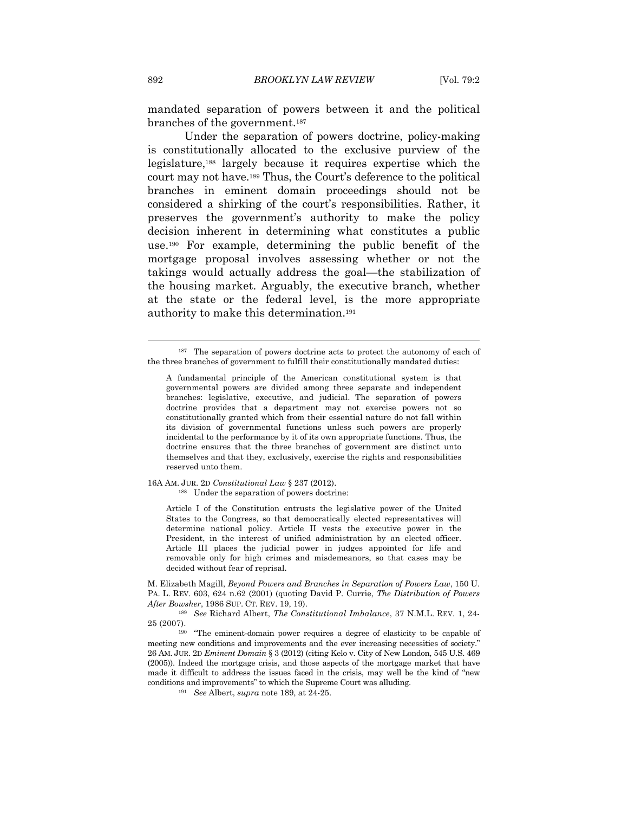mandated separation of powers between it and the political branches of the government.187

Under the separation of powers doctrine, policy-making is constitutionally allocated to the exclusive purview of the legislature,188 largely because it requires expertise which the court may not have.189 Thus, the Court's deference to the political branches in eminent domain proceedings should not be considered a shirking of the court's responsibilities. Rather, it preserves the government's authority to make the policy decision inherent in determining what constitutes a public use.190 For example, determining the public benefit of the mortgage proposal involves assessing whether or not the takings would actually address the goal—the stabilization of the housing market. Arguably, the executive branch, whether at the state or the federal level, is the more appropriate authority to make this determination.191

16A AM. JUR. 2D *Constitutional Law* § 237 (2012).

188 Under the separation of powers doctrine:

Article I of the Constitution entrusts the legislative power of the United States to the Congress, so that democratically elected representatives will determine national policy. Article II vests the executive power in the President, in the interest of unified administration by an elected officer. Article III places the judicial power in judges appointed for life and removable only for high crimes and misdemeanors, so that cases may be decided without fear of reprisal.

M. Elizabeth Magill, *Beyond Powers and Branches in Separation of Powers Law*, 150 U. PA. L. REV. 603, 624 n.62 (2001) (quoting David P. Currie, *The Distribution of Powers After Bowsher*, 1986 SUP. CT. REV. 19, 19).

<sup>189</sup> *See* Richard Albert, *The Constitutional Imbalance*, 37 N.M.L. REV. 1, 24- 25 (2007). 190 "The eminent-domain power requires a degree of elasticity to be capable of

meeting new conditions and improvements and the ever increasing necessities of society." 26 AM. JUR. 2D *Eminent Domain* § 3 (2012) (citing Kelo v. City of New London, 545 U.S. 469 (2005)). Indeed the mortgage crisis, and those aspects of the mortgage market that have made it difficult to address the issues faced in the crisis, may well be the kind of "new conditions and improvements" to which the Supreme Court was alluding. 191 *See* Albert, *supra* note 189, at 24-25.

<sup>187</sup> The separation of powers doctrine acts to protect the autonomy of each of the three branches of government to fulfill their constitutionally mandated duties:

A fundamental principle of the American constitutional system is that governmental powers are divided among three separate and independent branches: legislative, executive, and judicial. The separation of powers doctrine provides that a department may not exercise powers not so constitutionally granted which from their essential nature do not fall within its division of governmental functions unless such powers are properly incidental to the performance by it of its own appropriate functions. Thus, the doctrine ensures that the three branches of government are distinct unto themselves and that they, exclusively, exercise the rights and responsibilities reserved unto them.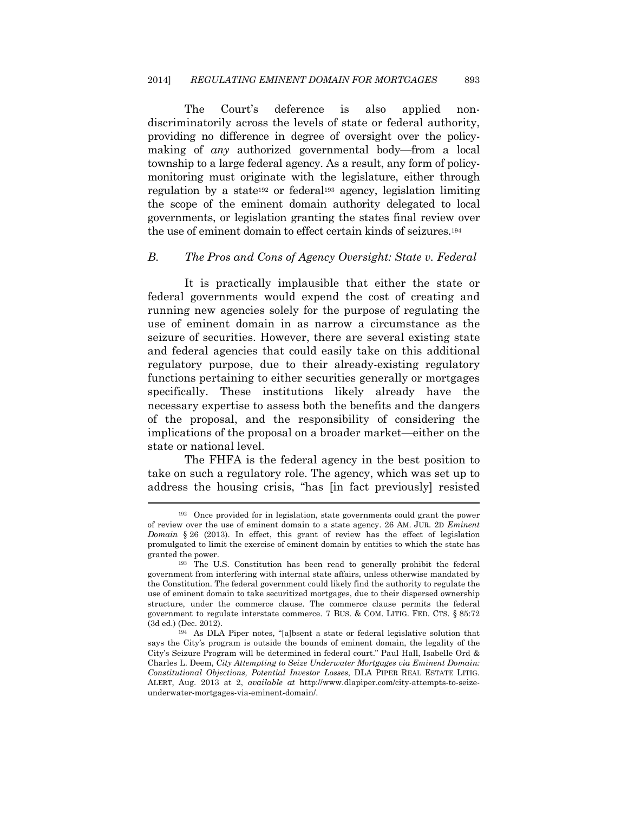The Court's deference is also applied nondiscriminatorily across the levels of state or federal authority, providing no difference in degree of oversight over the policymaking of *any* authorized governmental body—from a local township to a large federal agency. As a result, any form of policymonitoring must originate with the legislature, either through regulation by a state192 or federal193 agency, legislation limiting the scope of the eminent domain authority delegated to local governments, or legislation granting the states final review over the use of eminent domain to effect certain kinds of seizures.194

#### *B. The Pros and Cons of Agency Oversight: State v. Federal*

It is practically implausible that either the state or federal governments would expend the cost of creating and running new agencies solely for the purpose of regulating the use of eminent domain in as narrow a circumstance as the seizure of securities. However, there are several existing state and federal agencies that could easily take on this additional regulatory purpose, due to their already-existing regulatory functions pertaining to either securities generally or mortgages specifically. These institutions likely already have the necessary expertise to assess both the benefits and the dangers of the proposal, and the responsibility of considering the implications of the proposal on a broader market—either on the state or national level.

The FHFA is the federal agency in the best position to take on such a regulatory role. The agency, which was set up to address the housing crisis, "has [in fact previously] resisted

<sup>192</sup> Once provided for in legislation, state governments could grant the power of review over the use of eminent domain to a state agency. 26 AM. JUR. 2D *Eminent Domain* § 26 (2013). In effect, this grant of review has the effect of legislation promulgated to limit the exercise of eminent domain by entities to which the state has granted the power.<br><sup>193</sup> The U.S. Constitution has been read to generally prohibit the federal

government from interfering with internal state affairs, unless otherwise mandated by the Constitution. The federal government could likely find the authority to regulate the use of eminent domain to take securitized mortgages, due to their dispersed ownership structure, under the commerce clause. The commerce clause permits the federal government to regulate interstate commerce. 7 BUS. & COM. LITIG. FED. CTS. § 85:72 (3d ed.) (Dec. 2012).  $194$  As DLA Piper notes, "[a]bsent a state or federal legislative solution that

says the City's program is outside the bounds of eminent domain, the legality of the City's Seizure Program will be determined in federal court." Paul Hall, Isabelle Ord & Charles L. Deem, *City Attempting to Seize Underwater Mortgages via Eminent Domain: Constitutional Objections, Potential Investor Losses*, DLA PIPER REAL ESTATE LITIG. ALERT, Aug. 2013 at 2, *available at* http://www.dlapiper.com/city-attempts-to-seizeunderwater-mortgages-via-eminent-domain/.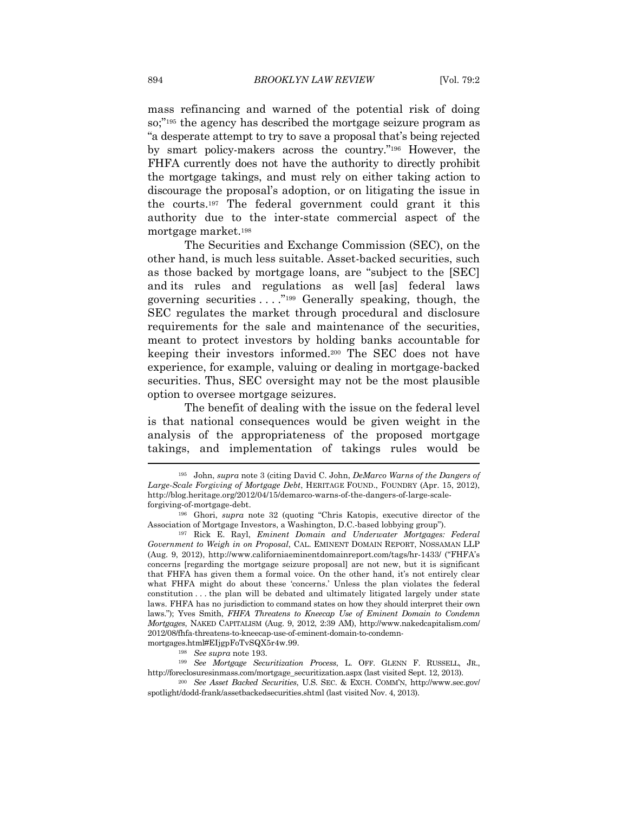mass refinancing and warned of the potential risk of doing so;"195 the agency has described the mortgage seizure program as "a desperate attempt to try to save a proposal that's being rejected by smart policy-makers across the country."196 However, the FHFA currently does not have the authority to directly prohibit the mortgage takings, and must rely on either taking action to discourage the proposal's adoption, or on litigating the issue in the courts.197 The federal government could grant it this authority due to the inter-state commercial aspect of the mortgage market.198

The Securities and Exchange Commission (SEC), on the other hand, is much less suitable. Asset-backed securities, such as those backed by mortgage loans, are "subject to the [SEC] and its rules and regulations as well [as] federal laws governing securities . . . ."199 Generally speaking, though, the SEC regulates the market through procedural and disclosure requirements for the sale and maintenance of the securities, meant to protect investors by holding banks accountable for keeping their investors informed.200 The SEC does not have experience, for example, valuing or dealing in mortgage-backed securities. Thus, SEC oversight may not be the most plausible option to oversee mortgage seizures.

The benefit of dealing with the issue on the federal level is that national consequences would be given weight in the analysis of the appropriateness of the proposed mortgage takings, and implementation of takings rules would be

mortgages.html#EIjgpFoTvSQX5r4w.99.<br> $$See supp a$  note 193.

<sup>199</sup> See Mortgage Securitization Process, L. OFF. GLENN F. RUSSELL, JR., http://foreclosuresinmass.com/mortgage\_securitization.aspx (last visited Sept. 12, 2013). 200 *See Asset Backed Securities*, U.S. SEC. & EXCH. COMM'N, http://www.sec.gov/

spotlight/dodd-frank/assetbackedsecurities.shtml (last visited Nov. 4, 2013).

<sup>195</sup> John, *supra* note 3 (citing David C. John, *DeMarco Warns of the Dangers of Large-Scale Forgiving of Mortgage Debt*, HERITAGE FOUND., FOUNDRY (Apr. 15, 2012), http://blog.heritage.org/2012/04/15/demarco-warns-of-the-dangers-of-large-scaleforgiving-of-mortgage-debt. 196 Ghori, *supra* note 32 (quoting "Chris Katopis, executive director of the

Association of Mortgage Investors, a Washington, D.C.-based lobbying group"). 197 Rick E. Rayl, *Eminent Domain and Underwater Mortgages: Federal* 

*Government to Weigh in on Proposal*, CAL. EMINENT DOMAIN REPORT, NOSSAMAN LLP (Aug. 9, 2012), http://www.californiaeminentdomainreport.com/tags/hr-1433/ ("FHFA's concerns [regarding the mortgage seizure proposal] are not new, but it is significant that FHFA has given them a formal voice. On the other hand, it's not entirely clear what FHFA might do about these 'concerns.' Unless the plan violates the federal constitution . . . the plan will be debated and ultimately litigated largely under state laws. FHFA has no jurisdiction to command states on how they should interpret their own laws."); Yves Smith, *FHFA Threatens to Kneecap Use of Eminent Domain to Condemn Mortgages*, NAKED CAPITALISM (Aug. 9, 2012, 2:39 AM), http://www.nakedcapitalism.com/ 2012/08/fhfa-threatens-to-kneecap-use-of-eminent-domain-to-condemn-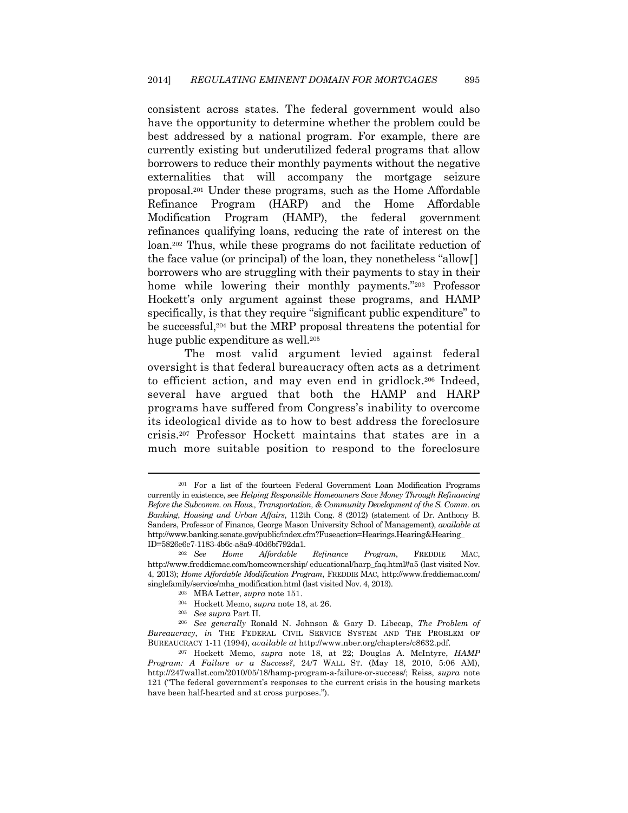consistent across states. The federal government would also have the opportunity to determine whether the problem could be best addressed by a national program. For example, there are currently existing but underutilized federal programs that allow borrowers to reduce their monthly payments without the negative externalities that will accompany the mortgage seizure proposal.201 Under these programs, such as the Home Affordable Refinance Program (HARP) and the Home Affordable Modification Program (HAMP), the federal government refinances qualifying loans, reducing the rate of interest on the loan.202 Thus, while these programs do not facilitate reduction of the face value (or principal) of the loan, they nonetheless "allow[] borrowers who are struggling with their payments to stay in their home while lowering their monthly payments."203 Professor Hockett's only argument against these programs, and HAMP specifically, is that they require "significant public expenditure" to be successful,204 but the MRP proposal threatens the potential for huge public expenditure as well.205

The most valid argument levied against federal oversight is that federal bureaucracy often acts as a detriment to efficient action, and may even end in gridlock.206 Indeed, several have argued that both the HAMP and HARP programs have suffered from Congress's inability to overcome its ideological divide as to how to best address the foreclosure crisis.207 Professor Hockett maintains that states are in a much more suitable position to respond to the foreclosure

<sup>201</sup> For a list of the fourteen Federal Government Loan Modification Programs currently in existence, see *Helping Responsible Homeowners Save Money Through Refinancing Before the Subcomm. on Hous., Transportation, & Community Development of the S. Comm. on Banking*, *Housing and Urban Affairs*, 112th Cong. 8 (2012) (statement of Dr. Anthony B. Sanders, Professor of Finance, George Mason University School of Management), *available at*  http://www.banking.senate.gov/public/index.cfm?Fuseaction=Hearings.Hearing&Hearing\_ ID=5826e6e7-1183-4b6c-a8a9-40d6bf792da1.

<sup>202</sup> *See Home Affordable Refinance Program*, FREDDIE MAC, http://www.freddiemac.com/homeownership/ educational/harp\_faq.html#a5 (last visited Nov. 4, 2013); *Home Affordable Modification Program*, FREDDIE MAC, http://www.freddiemac.com/

singlefamily/service/mha\_modification.html (last visited Nov. 4, 2013).<br><sup>203</sup> MBA Letter, *supra* note 151.<br><sup>204</sup> Hockett Memo, *supra* note 18, at 26.<br><sup>205</sup> See supra Part II.<br><sup>206</sup> See generally Ronald N. Johnson & Gary *Bureaucracy*, *in* THE FEDERAL CIVIL SERVICE SYSTEM AND THE PROBLEM OF

BUREAUCRACY 1-11 (1994), *available at* http://www.nber.org/chapters/c8632.pdf. 207 Hockett Memo, *supra* note 18, at 22; Douglas A. McIntyre, *HAMP Program: A Failure or a Success?*, 24/7 WALL ST. (May 18, 2010, 5:06 AM), http://247wallst.com/2010/05/18/hamp-program-a-failure-or-success/; Reiss, *supra* note 121 ("The federal government's responses to the current crisis in the housing markets have been half-hearted and at cross purposes.").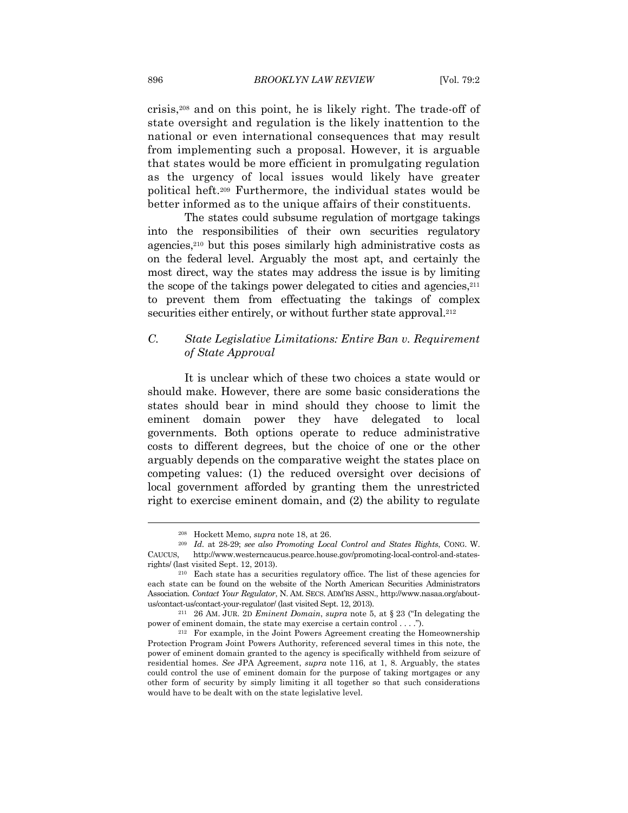crisis,208 and on this point, he is likely right. The trade-off of state oversight and regulation is the likely inattention to the national or even international consequences that may result from implementing such a proposal. However, it is arguable that states would be more efficient in promulgating regulation as the urgency of local issues would likely have greater political heft.209 Furthermore, the individual states would be better informed as to the unique affairs of their constituents.

The states could subsume regulation of mortgage takings into the responsibilities of their own securities regulatory agencies,210 but this poses similarly high administrative costs as on the federal level. Arguably the most apt, and certainly the most direct, way the states may address the issue is by limiting the scope of the takings power delegated to cities and agencies, $2^{11}$ to prevent them from effectuating the takings of complex securities either entirely, or without further state approval.<sup>212</sup>

#### *C. State Legislative Limitations: Entire Ban v. Requirement of State Approval*

It is unclear which of these two choices a state would or should make. However, there are some basic considerations the states should bear in mind should they choose to limit the eminent domain power they have delegated to local governments. Both options operate to reduce administrative costs to different degrees, but the choice of one or the other arguably depends on the comparative weight the states place on competing values: (1) the reduced oversight over decisions of local government afforded by granting them the unrestricted right to exercise eminent domain, and (2) the ability to regulate

<sup>208</sup> Hockett Memo, *supra* note 18, at 26. 209 *Id.* at 28-29; *see also Promoting Local Control and States Rights*, CONG. W. CAUCUS, http://www.westerncaucus.pearce.house.gov/promoting-local-control-and-statesrights/ (last visited Sept. 12, 2013). 210 Each state has a securities regulatory office. The list of these agencies for

each state can be found on the website of the North American Securities Administrators Association. *Contact Your Regulator*, N. AM. SECS. ADM'RS ASSN., http://www.nasaa.org/aboutus/contact-us/contact-your-regulator/ (last visited Sept. 12, 2013). 211 26 AM. JUR. 2D *Eminent Domain*, *supra* note 5, at § 23 ("In delegating the

power of eminent domain, the state may exercise a certain control . . . .").<br><sup>212</sup> For example, in the Joint Powers Agreement creating the Homeownership

Protection Program Joint Powers Authority, referenced several times in this note, the power of eminent domain granted to the agency is specifically withheld from seizure of residential homes. *See* JPA Agreement, *supra* note 116, at 1, 8. Arguably, the states could control the use of eminent domain for the purpose of taking mortgages or any other form of security by simply limiting it all together so that such considerations would have to be dealt with on the state legislative level.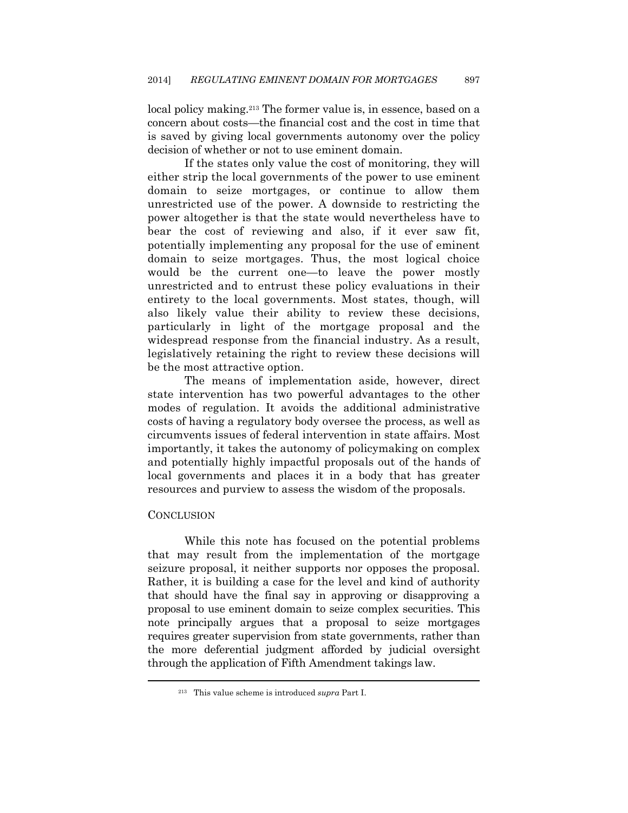local policy making.213 The former value is, in essence, based on a concern about costs—the financial cost and the cost in time that is saved by giving local governments autonomy over the policy decision of whether or not to use eminent domain.

If the states only value the cost of monitoring, they will either strip the local governments of the power to use eminent domain to seize mortgages, or continue to allow them unrestricted use of the power. A downside to restricting the power altogether is that the state would nevertheless have to bear the cost of reviewing and also, if it ever saw fit, potentially implementing any proposal for the use of eminent domain to seize mortgages. Thus, the most logical choice would be the current one—to leave the power mostly unrestricted and to entrust these policy evaluations in their entirety to the local governments. Most states, though, will also likely value their ability to review these decisions, particularly in light of the mortgage proposal and the widespread response from the financial industry. As a result, legislatively retaining the right to review these decisions will be the most attractive option.

The means of implementation aside, however, direct state intervention has two powerful advantages to the other modes of regulation. It avoids the additional administrative costs of having a regulatory body oversee the process, as well as circumvents issues of federal intervention in state affairs. Most importantly, it takes the autonomy of policymaking on complex and potentially highly impactful proposals out of the hands of local governments and places it in a body that has greater resources and purview to assess the wisdom of the proposals.

#### **CONCLUSION**

While this note has focused on the potential problems that may result from the implementation of the mortgage seizure proposal, it neither supports nor opposes the proposal. Rather, it is building a case for the level and kind of authority that should have the final say in approving or disapproving a proposal to use eminent domain to seize complex securities. This note principally argues that a proposal to seize mortgages requires greater supervision from state governments, rather than the more deferential judgment afforded by judicial oversight through the application of Fifth Amendment takings law.

<sup>213</sup> This value scheme is introduced *supra* Part I.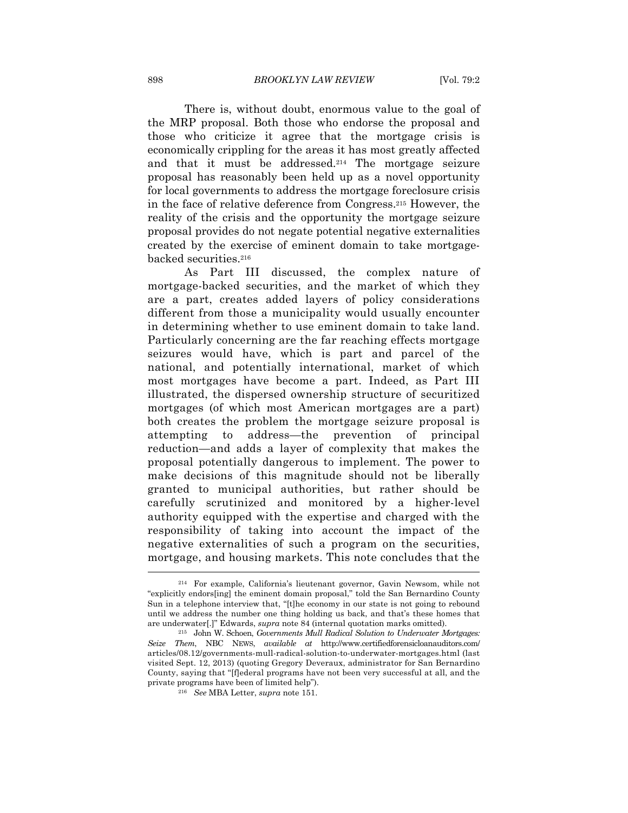There is, without doubt, enormous value to the goal of the MRP proposal. Both those who endorse the proposal and those who criticize it agree that the mortgage crisis is economically crippling for the areas it has most greatly affected and that it must be addressed.214 The mortgage seizure proposal has reasonably been held up as a novel opportunity for local governments to address the mortgage foreclosure crisis in the face of relative deference from Congress.215 However, the reality of the crisis and the opportunity the mortgage seizure proposal provides do not negate potential negative externalities created by the exercise of eminent domain to take mortgagebacked securities.216

As Part III discussed, the complex nature of mortgage-backed securities, and the market of which they are a part, creates added layers of policy considerations different from those a municipality would usually encounter in determining whether to use eminent domain to take land. Particularly concerning are the far reaching effects mortgage seizures would have, which is part and parcel of the national, and potentially international, market of which most mortgages have become a part. Indeed, as Part III illustrated, the dispersed ownership structure of securitized mortgages (of which most American mortgages are a part) both creates the problem the mortgage seizure proposal is attempting to address—the prevention of principal reduction—and adds a layer of complexity that makes the proposal potentially dangerous to implement. The power to make decisions of this magnitude should not be liberally granted to municipal authorities, but rather should be carefully scrutinized and monitored by a higher-level authority equipped with the expertise and charged with the responsibility of taking into account the impact of the negative externalities of such a program on the securities, mortgage, and housing markets. This note concludes that the

<sup>214</sup> For example, California's lieutenant governor, Gavin Newsom, while not "explicitly endors[ing] the eminent domain proposal," told the San Bernardino County Sun in a telephone interview that, "[t]he economy in our state is not going to rebound until we address the number one thing holding us back, and that's these homes that are underwater[.]" Edwards, *supra* note 84 (internal quotation marks omitted). 215 John W. Schoen, *Governments Mull Radical Solution to Underwater Mortgages:* 

*Seize Them*, NBC NEWS, *available at* http://www.certifiedforensicloanauditors.com/ articles/08.12/governments-mull-radical-solution-to-underwater-mortgages.html (last visited Sept. 12, 2013) (quoting Gregory Deveraux, administrator for San Bernardino County, saying that "[f]ederal programs have not been very successful at all, and the private programs have been of limited help"). 216 *See* MBA Letter, *supra* note 151.